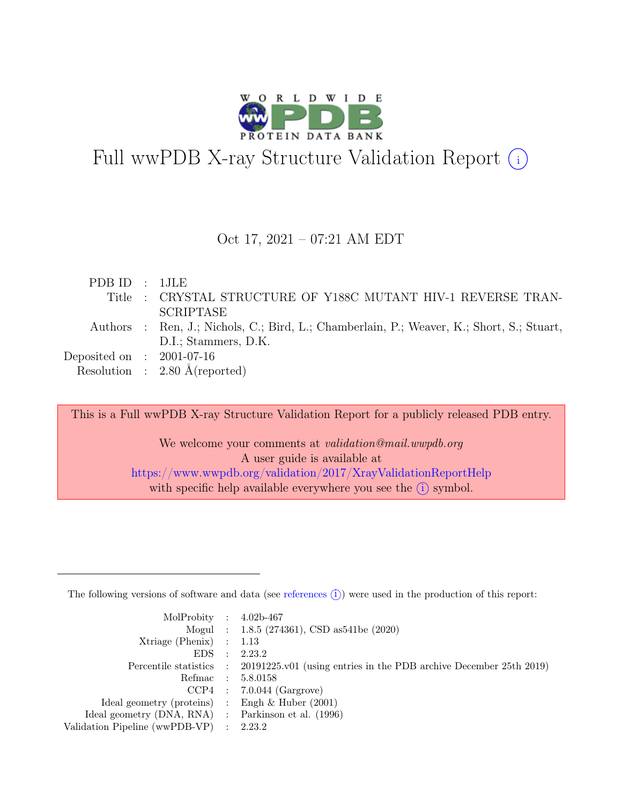

# Full wwPDB X-ray Structure Validation Report  $\bigcirc$

#### Oct 17, 2021 – 07:21 AM EDT

| PDBID : 1JLE                |                                                                                           |
|-----------------------------|-------------------------------------------------------------------------------------------|
|                             | Title : CRYSTAL STRUCTURE OF Y188C MUTANT HIV-1 REVERSE TRAN-                             |
|                             | <b>SCRIPTASE</b>                                                                          |
|                             | Authors : Ren, J.; Nichols, C.; Bird, L.; Chamberlain, P.; Weaver, K.; Short, S.; Stuart, |
|                             | D.I.; Stammers, D.K.                                                                      |
| Deposited on : $2001-07-16$ |                                                                                           |
|                             | Resolution : $2.80 \text{ Å}$ (reported)                                                  |
|                             |                                                                                           |

This is a Full wwPDB X-ray Structure Validation Report for a publicly released PDB entry.

We welcome your comments at validation@mail.wwpdb.org A user guide is available at <https://www.wwpdb.org/validation/2017/XrayValidationReportHelp> with specific help available everywhere you see the  $(i)$  symbol.

The following versions of software and data (see [references](https://www.wwpdb.org/validation/2017/XrayValidationReportHelp#references)  $(i)$ ) were used in the production of this report:

| MolProbity : $4.02b-467$                            |           |                                                                                            |
|-----------------------------------------------------|-----------|--------------------------------------------------------------------------------------------|
|                                                     |           | Mogul : $1.8.5$ (274361), CSD as 541be (2020)                                              |
| $Xtriangle (Phenix)$ : 1.13                         |           |                                                                                            |
| EDS                                                 | $\cdot$ : | 2.23.2                                                                                     |
|                                                     |           | Percentile statistics : 20191225.v01 (using entries in the PDB archive December 25th 2019) |
|                                                     |           | Refmac : 5.8.0158                                                                          |
|                                                     |           | $CCP4$ : 7.0.044 (Gargrove)                                                                |
| Ideal geometry (proteins) : Engh $\&$ Huber (2001)  |           |                                                                                            |
| Ideal geometry (DNA, RNA) : Parkinson et al. (1996) |           |                                                                                            |
| Validation Pipeline (wwPDB-VP) : 2.23.2             |           |                                                                                            |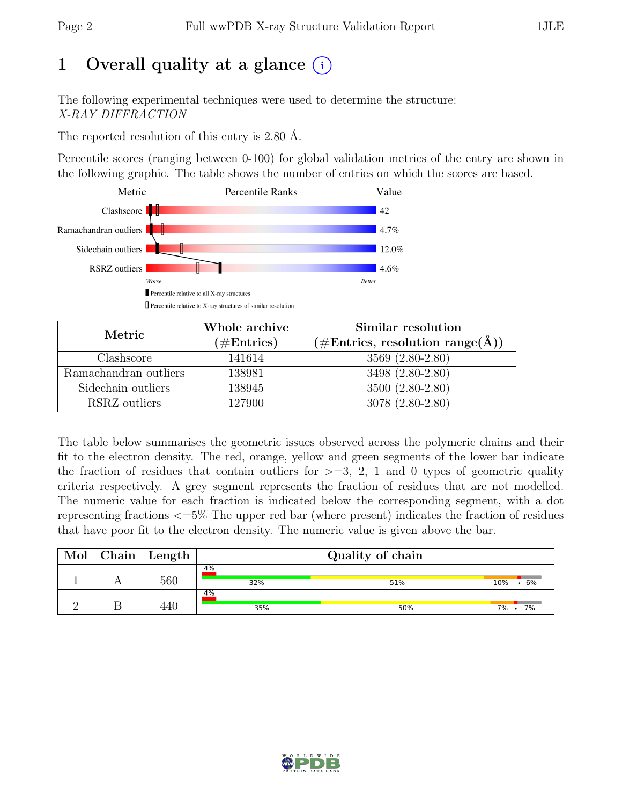# 1 Overall quality at a glance  $(i)$

The following experimental techniques were used to determine the structure: X-RAY DIFFRACTION

The reported resolution of this entry is 2.80 Å.

Percentile scores (ranging between 0-100) for global validation metrics of the entry are shown in the following graphic. The table shows the number of entries on which the scores are based.



| Metric                | Whole archive<br>$(\#\text{Entries})$ | Similar resolution<br>$(\# \text{Entries}, \text{ resolution range}(\text{A}))$ |
|-----------------------|---------------------------------------|---------------------------------------------------------------------------------|
| Clashscore            | 141614                                | 3569 (2.80-2.80)                                                                |
| Ramachandran outliers | 138981                                | 3498 (2.80-2.80)                                                                |
| Sidechain outliers    | 138945                                | 3500 (2.80-2.80)                                                                |
| RSRZ outliers         | 127900                                | 3078 (2.80-2.80)                                                                |

The table below summarises the geometric issues observed across the polymeric chains and their fit to the electron density. The red, orange, yellow and green segments of the lower bar indicate the fraction of residues that contain outliers for  $>=$  3, 2, 1 and 0 types of geometric quality criteria respectively. A grey segment represents the fraction of residues that are not modelled. The numeric value for each fraction is indicated below the corresponding segment, with a dot representing fractions <=5% The upper red bar (where present) indicates the fraction of residues that have poor fit to the electron density. The numeric value is given above the bar.

| Mol | ${\rm Chain \mid Length}$ | Quality of chain |     |               |  |  |  |  |
|-----|---------------------------|------------------|-----|---------------|--|--|--|--|
|     | 560                       | $4\%$<br>32%     | 51% | .6%<br>10%    |  |  |  |  |
|     |                           | 4%<br>35%        | 50% | 7%<br>$7\%$ . |  |  |  |  |

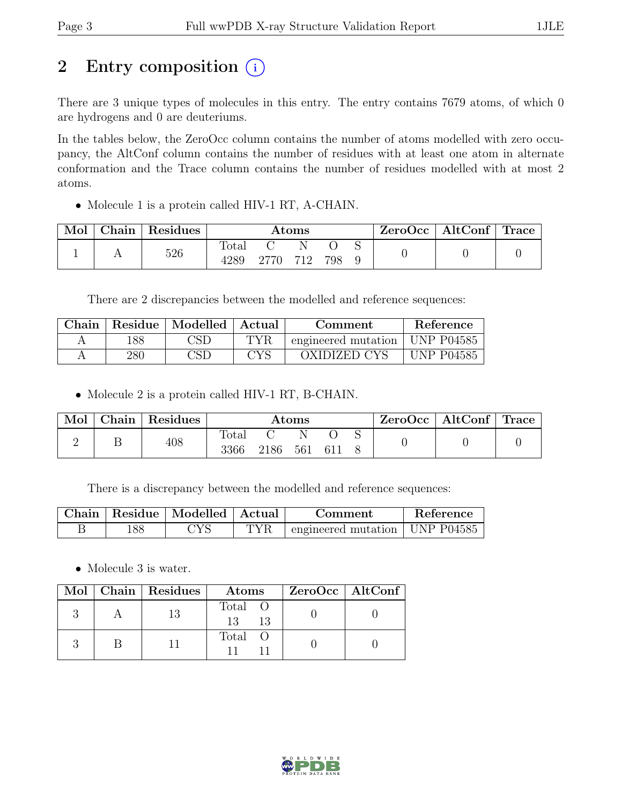# 2 Entry composition  $(i)$

There are 3 unique types of molecules in this entry. The entry contains 7679 atoms, of which 0 are hydrogens and 0 are deuteriums.

In the tables below, the ZeroOcc column contains the number of atoms modelled with zero occupancy, the AltConf column contains the number of residues with at least one atom in alternate conformation and the Trace column contains the number of residues modelled with at most 2 atoms.

• Molecule 1 is a protein called HIV-1 RT, A-CHAIN.

| Mol | Chain | Residues | Atoms         |  |     | $ZeroOcc \mid AltConf \mid Trace$ |  |  |  |
|-----|-------|----------|---------------|--|-----|-----------------------------------|--|--|--|
|     |       | 526      | Total<br>4289 |  | 712 | 798                               |  |  |  |

There are 2 discrepancies between the modelled and reference sequences:

| Chain |     | Residue   Modelled   Actual |     | Comment             | <b>Reference</b>  |
|-------|-----|-----------------------------|-----|---------------------|-------------------|
|       | 188 | $\mathbb{C}\mathrm{SD}$     | TYR | engineered mutation | <b>UNP P04585</b> |
|       | 280 | CSD                         | CYS | OXIDIZED CYS        | UNP P04585        |

• Molecule 2 is a protein called HIV-1 RT, B-CHAIN.

| Mol | $\Box$ Chain | Residues | $\rm{Atoms}$  |      |     |     | $\text{ZeroOcc}$   AltConf   Trace |  |  |
|-----|--------------|----------|---------------|------|-----|-----|------------------------------------|--|--|
|     |              | 408      | Total<br>3366 | 2186 | 561 | 611 |                                    |  |  |

There is a discrepancy between the modelled and reference sequences:

|     | Chain   Residue   Modelled   Actual |     | Comment                                    | Reference |
|-----|-------------------------------------|-----|--------------------------------------------|-----------|
| .88 |                                     | TVR | $\pm$ engineered mutation $\pm$ UNP P04585 |           |

• Molecule 3 is water.

|  | Mol   Chain   Residues | Atoms                 | $ZeroOcc \   \$ AltConf |
|--|------------------------|-----------------------|-------------------------|
|  |                        | Total O<br>13<br>- 13 |                         |
|  |                        | Total O               |                         |

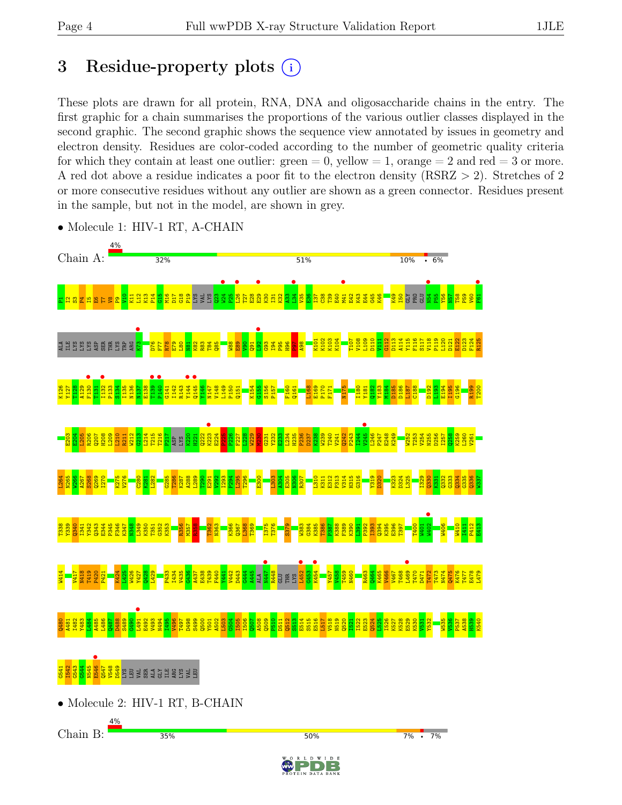# 3 Residue-property plots  $(i)$

These plots are drawn for all protein, RNA, DNA and oligosaccharide chains in the entry. The first graphic for a chain summarises the proportions of the various outlier classes displayed in the second graphic. The second graphic shows the sequence view annotated by issues in geometry and electron density. Residues are color-coded according to the number of geometric quality criteria for which they contain at least one outlier:  $green = 0$ , yellow  $= 1$ , orange  $= 2$  and red  $= 3$  or more. A red dot above a residue indicates a poor fit to the electron density (RSRZ > 2). Stretches of 2 or more consecutive residues without any outlier are shown as a green connector. Residues present in the sample, but not in the model, are shown in grey.



• Molecule 1: HIV-1 RT, A-CHAIN

• Molecule 2: HIV-1 RT, B-CHAIN

Chain B:



50%

 $7\% \cdot 7\%$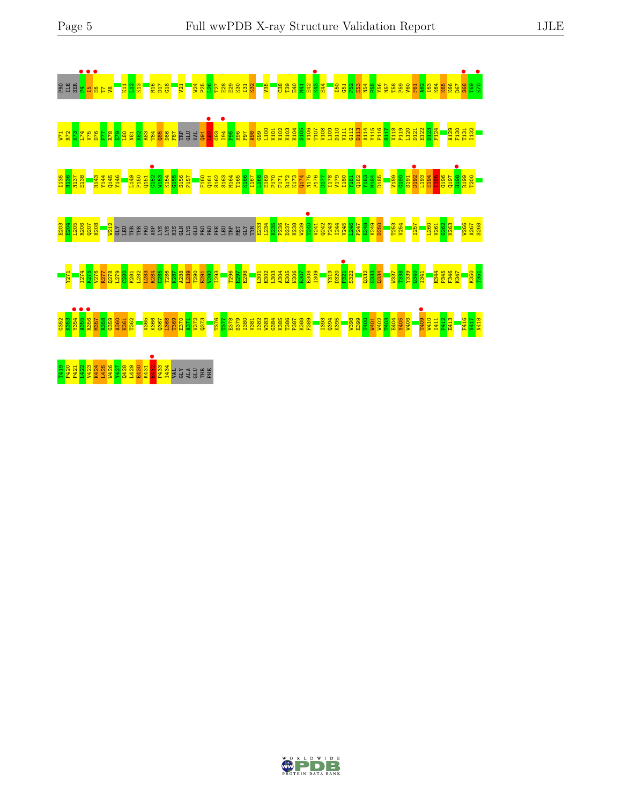

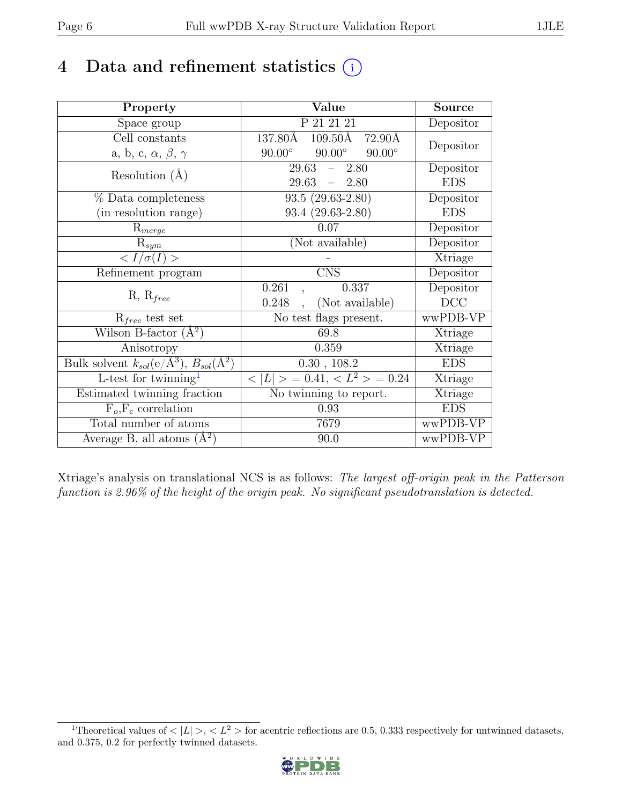# 4 Data and refinement statistics  $(i)$

| Property                                                         | Value                                           | Source     |
|------------------------------------------------------------------|-------------------------------------------------|------------|
| Space group                                                      | P 21 21 21                                      | Depositor  |
| Cell constants                                                   | 137.80Å<br>$109.50\text{\AA}$<br>72.90Å         | Depositor  |
| a, b, c, $\alpha$ , $\beta$ , $\gamma$                           | $90.00^\circ$<br>$90.00^\circ$<br>$90.00^\circ$ |            |
| Resolution $(A)$                                                 | 29.63<br>2.80<br>$\equiv$                       | Depositor  |
|                                                                  | 29.63<br>$-2.80$                                | <b>EDS</b> |
| % Data completeness                                              | $93.5(29.63-2.80)$                              | Depositor  |
| (in resolution range)                                            | $93.4(29.63-2.80)$                              | <b>EDS</b> |
| $R_{merge}$                                                      | 0.07                                            | Depositor  |
| $\mathrm{R}_{sym}$                                               | (Not available)                                 | Depositor  |
| $\langle I/\sigma(I)\rangle$                                     |                                                 | Xtriage    |
| Refinement program                                               | $\overline{\text{CNS}}$                         | Depositor  |
| $R, R_{free}$                                                    | 0.261<br>0.337                                  | Depositor  |
|                                                                  | (Not available)<br>0.248                        | DCC        |
| $R_{free}$ test set                                              | No test flags present.                          | wwPDB-VP   |
| Wilson B-factor $(A^2)$                                          | 69.8                                            | Xtriage    |
| Anisotropy                                                       | 0.359                                           | Xtriage    |
| Bulk solvent $k_{sol}(\text{e}/\text{A}^3), B_{sol}(\text{A}^2)$ | 0.30, 108.2                                     | <b>EDS</b> |
| $\overline{L}$ -test for twinning <sup>1</sup>                   | $< L >$ = 0.41, $< L^2 >$ = 0.24                | Xtriage    |
| Estimated twinning fraction                                      | No twinning to report.                          | Xtriage    |
| $F_o, F_c$ correlation                                           | 0.93                                            | <b>EDS</b> |
| Total number of atoms                                            | 7679                                            | wwPDB-VP   |
| Average B, all atoms $(A^2)$                                     | 90.0                                            | wwPDB-VP   |

Xtriage's analysis on translational NCS is as follows: The largest off-origin peak in the Patterson function is 2.96% of the height of the origin peak. No significant pseudotranslation is detected.

<span id="page-5-0"></span><sup>&</sup>lt;sup>1</sup>Theoretical values of  $\langle |L| \rangle$ ,  $\langle L^2 \rangle$  for acentric reflections are 0.5, 0.333 respectively for untwinned datasets, and 0.375, 0.2 for perfectly twinned datasets.

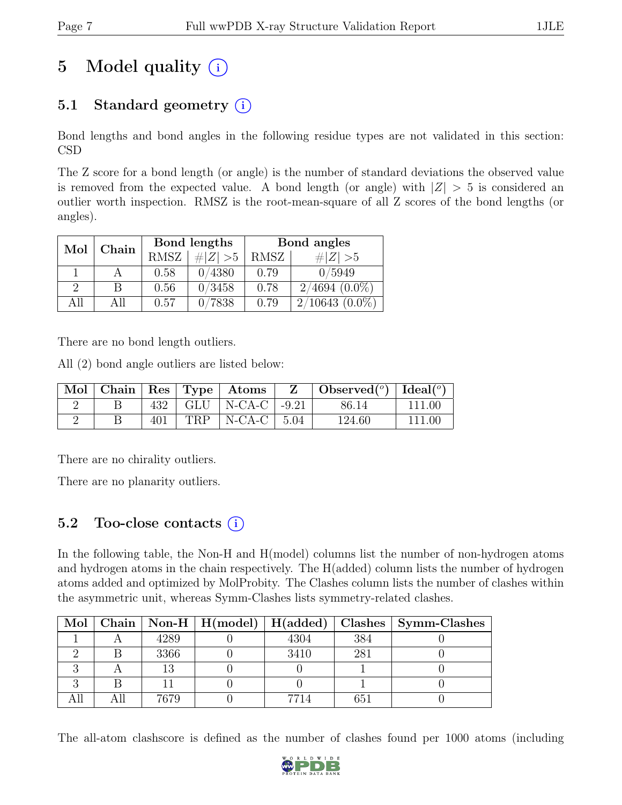# 5 Model quality  $(i)$

## 5.1 Standard geometry  $(i)$

Bond lengths and bond angles in the following residue types are not validated in this section: CSD

The Z score for a bond length (or angle) is the number of standard deviations the observed value is removed from the expected value. A bond length (or angle) with  $|Z| > 5$  is considered an outlier worth inspection. RMSZ is the root-mean-square of all Z scores of the bond lengths (or angles).

| Mol | Chain |             | Bond lengths | Bond angles |                  |  |
|-----|-------|-------------|--------------|-------------|------------------|--|
|     |       | <b>RMSZ</b> | $\# Z  > 5$  | RMSZ        | Z   > 5          |  |
|     |       | 0.58        | 0/4380       | 0.79        | 0/5949           |  |
| 9   | В     | 0.56        | 0/3458       | 0.78        | $2/4694(0.0\%)$  |  |
| All | All   | 0.57        | 0/7838       | 0.79        | $2/10643(0.0\%)$ |  |

There are no bond length outliers.

All (2) bond angle outliers are listed below:

|  |     |     | Mol   Chain   Res   Type   Atoms | Observed <sup>(<math>^o</math>)</sup> $\vert$ Ideal( $^o$ ) |        |
|--|-----|-----|----------------------------------|-------------------------------------------------------------|--------|
|  | 432 |     | GLU   N-CA-C $\vert$ -9.21       | 86.14                                                       | 111.00 |
|  | 401 | TRP | $\vert$ N-CA-C $\vert$ 5.04      | 124.60                                                      |        |

There are no chirality outliers.

There are no planarity outliers.

### 5.2 Too-close contacts  $(i)$

In the following table, the Non-H and H(model) columns list the number of non-hydrogen atoms and hydrogen atoms in the chain respectively. The H(added) column lists the number of hydrogen atoms added and optimized by MolProbity. The Clashes column lists the number of clashes within the asymmetric unit, whereas Symm-Clashes lists symmetry-related clashes.

|  |      |      |     | Mol   Chain   Non-H   H(model)   H(added)   Clashes   Symm-Clashes |
|--|------|------|-----|--------------------------------------------------------------------|
|  | 4289 | 4304 | 384 |                                                                    |
|  | 3366 | 3410 | 281 |                                                                    |
|  |      |      |     |                                                                    |
|  |      |      |     |                                                                    |
|  | 7679 | 7714 | 651 |                                                                    |

The all-atom clashscore is defined as the number of clashes found per 1000 atoms (including

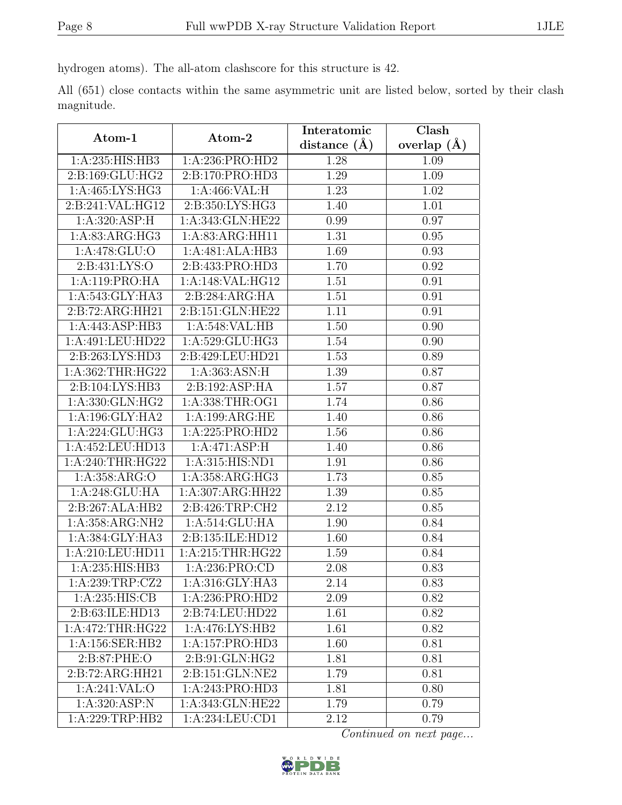hydrogen atoms). The all-atom clashscore for this structure is 42.

All (651) close contacts within the same asymmetric unit are listed below, sorted by their clash magnitude.

| Atom-1              | Atom-2                              | Interatomic      | Clash         |
|---------------------|-------------------------------------|------------------|---------------|
|                     |                                     | distance $(\AA)$ | overlap $(A)$ |
| 1:A:235:HIS:HB3     | 1:A:236:PRO:HD2                     | 1.28             | 1.09          |
| 2:B:169:GLU:HG2     | 2:B:170:PRO:HD3                     | 1.29             | 1.09          |
| 1:A:465:LYS:HG3     | 1:A:466:VAL:H                       | 1.23             | 1.02          |
| 2:B:241:VAL:HG12    | 2:B:350:LYS:HG3                     | 1.40             | 1.01          |
| 1: A:320: ASP:H     | 1:A:343:GLN:HE22                    | 0.99             | 0.97          |
| 1:A:83:ARG:HG3      | $1:A:83:\overline{\text{ARG:HH11}}$ | 1.31             | 0.95          |
| 1: A:478: GLU:O     | 1:A:481:ALA:HB3                     | 1.69             | 0.93          |
| 2: B: 431: LYS: O   | 2:B:433:PRO:HD3                     | 1.70             | 0.92          |
| 1:A:119:PRO:HA      | 1:A:148:VAL:HG12                    | 1.51             | 0.91          |
| 1:A:543:GLY:HA3     | 2:B:284:ARG:HA                      | 1.51             | 0.91          |
| 2:B:72:ARG:HH21     | 2:B:151:GLN:HE22                    | 1.11             | 0.91          |
| 1:A:443:ASP:HB3     | 1:A:548:VAL:HB                      | 1.50             | 0.90          |
| 1:A:491:LEU:HD22    | 1:A:529:GLU:HG3                     | 1.54             | 0.90          |
| 2:B:263:LYS:HD3     | 2:B:429:LEU:HD21                    | 1.53             | 0.89          |
| 1:A:362:THR:HG22    | 1: A: 363: ASN: H                   | 1.39             | 0.87          |
| 2:B:104:LYS:HB3     | 2:B:192:ASP:HA                      | 1.57             | 0.87          |
| 1: A: 330: GLN: HG2 | 1: A: 338: THR: OG1                 | 1.74             | 0.86          |
| 1: A:196: GLY: HA2  | 1:A:199:ARG:HE                      | 1.40             | 0.86          |
| 1:A:224:GLU:HG3     | 1:A:225:PRO:HD2                     | 1.56             | 0.86          |
| 1:A:452:LEU:HD13    | 1:A:471:ASP:H                       | 1.40             | 0.86          |
| 1:A:240:THR:HG22    | 1:A:315:HIS:ND1                     | 1.91             | 0.86          |
| 1:A:358:ARG:O       | 1:A:358:ARG:HG3                     | 1.73             | 0.85          |
| 1:A:248:GLU:HA      | 1:A:307:ARG:HH22                    | 1.39             | 0.85          |
| 2:B:267:ALA:HB2     | 2:B:426:TRP:CH2                     | 2.12             | 0.85          |
| 1:A:358:ARG:NH2     | 1:A:514:GLU:HA                      | 1.90             | 0.84          |
| 1:A:384:GLY:HA3     | 2:B:135:ILE:HD12                    | 1.60             | 0.84          |
| 1:A:210:LEU:HD11    | 1: A:215:THR:HG22                   | 1.59             | 0.84          |
| 1:A:235:HIS:HB3     | 1:A:236:PRO:CD                      | 2.08             | 0.83          |
| 1:A:239:TRP:CZ2     | 1: A:316: GLY: HA3                  | 2.14             | 0.83          |
| 1:A:235:HIS:CB      | 1:A:236:PRO:HD2                     | 2.09             | 0.82          |
| 2:B:63:ILE:HD13     | 2:B:74:LEU:HD22                     | 1.61             | 0.82          |
| 1:A:472:THR:HG22    | 1:A:476:LYS:HB2                     | 1.61             | 0.82          |
| 1:A:156:SER:HB2     | 1:A:157:PRO:HD3                     | 1.60             | 0.81          |
| 2:B:87:PHE:O        | 2:B:91:GLN:HG2                      | 1.81             | 0.81          |
| 2:B:72:ARG:HH21     | 2:B:151:GLN:NE2                     | 1.79             | 0.81          |
| 1:A:241:VAL:O       | 1:A:243:PRO:HD3                     | 1.81             | 0.80          |
| 1: A:320: ASP: N    | 1:A:343:GLN:HE22                    | 1.79             | 0.79          |
| 1:A:229:TRP:HB2     | 1:A:234:LEU:CD1                     | 2.12             | 0.79          |

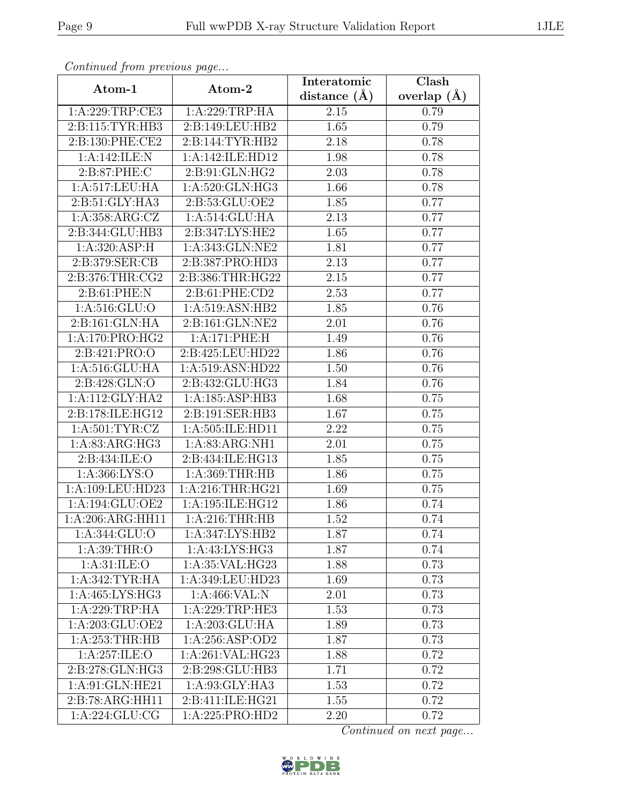| Continuea from previous page  |                                      | Interatomic        | Clash         |
|-------------------------------|--------------------------------------|--------------------|---------------|
| Atom-1                        | Atom-2                               | distance $(A)$     | overlap $(A)$ |
| 1:A:229:TRP:CE3               | 1:A:229:TRP:HA                       | 2.15               | 0.79          |
| 2:B:115:TYR:HB3               | 2:B:149:LEU:HB2                      | $\overline{1.65}$  | 0.79          |
| 2:B:130:PHE:CE2               | 2: B: 144: TYR: HB2                  | 2.18               | 0.78          |
| 1:A:142:ILE:N                 | 1:A:142:ILE:HD12                     | 1.98               | 0.78          |
| 2:B:87:PHE:C                  | 2:B:91:GLN:HG2                       | 2.03               | 0.78          |
| 1:A:517:LEU:HA                | 1: A:520: GLN: HG3                   | 1.66               | 0.78          |
| $2: B:51: \overline{GLY:HAS}$ | $2: B: 53: \overline{GLU:OE2}$       | $\overline{1}$ .85 | 0.77          |
| 1:A:358:ARG:CZ                | 1:A:514:GLU:HA                       | 2.13               | 0.77          |
| 2:B:344:GLU:HB3               | 2:B:347:LYS:HE2                      | 1.65               | 0.77          |
| 1: A:320: ASP:H               | 1:A:343:GLN:NE2                      | 1.81               | 0.77          |
| 2:B:379:SER:CB                | 2:B:387:PRO:HD3                      | 2.13               | 0.77          |
| 2:B:376:THR:CG2               | 2:B:386:THR:HG22                     | 2.15               | 0.77          |
| 2: B:61: PHE: N               | 2:B:61:PHE:CD2                       | 2.53               | 0.77          |
| 1:A:516:GLU:O                 | 1: A:519: ASN: HB2                   | 1.85               | 0.76          |
| 2:B:161:GLN:HA                | 2:B:161:GLN:NE2                      | 2.01               | 0.76          |
| 1:A:170:PRO:HG2               | 1:A:171:PHE:H                        | 1.49               | 0.76          |
| 2:B:421:PRO:O                 | 2:B:425:LEU:HD22                     | 1.86               | 0.76          |
| 1: A:516: GLU: HA             | 1:A:519:ASN:HD22                     | 1.50               | 0.76          |
| 2: B:428: GLN:O               | 2:B:432:GLU:HG3                      | 1.84               | 0.76          |
| 1:A:112:GLY:HA2               | 1:A:185:ASP:HB3                      | 1.68               | 0.75          |
| 2:B:178:ILE:HG12              | 2:B:191:SER:HB3                      | 1.67               | 0.75          |
| 1: A:501: TYR: CZ             | $1:A:505:\overline{\text{ILE:HDI1}}$ | 2.22               | 0.75          |
| 1:A:83:ARG:HG3                | 1:A:83:ARG:NH1                       | 2.01               | 0.75          |
| 2:B:434:ILE:O                 | 2:B:434:ILE:HG13                     | 1.85               | 0.75          |
| 1:A:366:LYS:O                 | 1:A:369:THR:HB                       | 1.86               | 0.75          |
| $1:A:109:L\overline{EU:HD23}$ | 1:A:216:THR:HG21                     | 1.69               | 0.75          |
| 1:A:194:GLU:OE2               | 1:A:195:ILE:HG12                     | 1.86               | 0.74          |
| 1:A:206:ARG:HH11              | 1:A:216:THR:HB                       | 1.52               | 0.74          |
| 1:A:344:GLU:O                 | 1:A:347:LYS:HB2                      | 1.87               | 0.74          |
| 1: A:39:THR:O                 | 1:A:43:LYS:HG3                       | 1.87               | 0.74          |
| 1: A:31: ILE: O               | 1: A:35: VAL:HG23                    | 1.88               | 0.73          |
| 1: A:342: TYR: HA             | 1:A:349:LEU:HD23                     | 1.69               | 0.73          |
| 1: A: 465: LYS: HG3           | 1: A:466: VAL: N                     | 2.01               | 0.73          |
| 1:A:229:TRP:HA                | 1:A:229:TRP:HE3                      | 1.53               | 0.73          |
| 1:A:203:GLU:OE2               | 1:A:203:GLU:HA                       | 1.89               | 0.73          |
| 1:A:253:THR:HB                | 1:A:256:ASP:OD2                      | 1.87               | 0.73          |
| 1: A:257: ILE: O              | 1:A:261:VAL:HG23                     | 1.88               | 0.72          |
| 2:B:278:GLN:HG3               | 2:B:298:GLU:HB3                      | 1.71               | 0.72          |
| 1: A:91: GLN: HE21            | 1: A:93: GLY: HA3                    | 1.53               | 0.72          |
| 2:B:78:ARG:HH11               | 2:B:411:ILE:HG21                     | 1.55               | 0.72          |
| 1: A:224: GLU:CG              | 1:A:225:PRO:HD2                      | 2.20               | 0.72          |

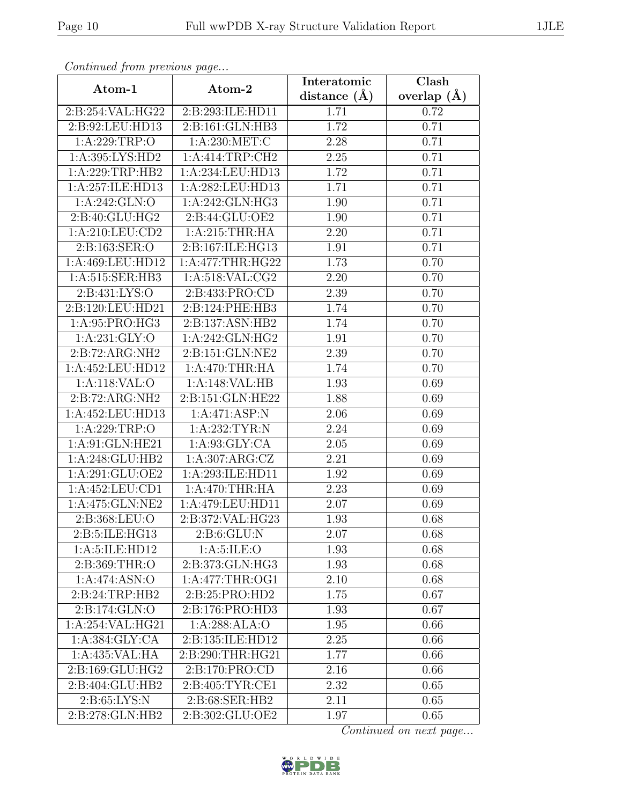| Continued from previous page  |                    | Interatomic      | Clash           |  |
|-------------------------------|--------------------|------------------|-----------------|--|
| Atom-1                        | Atom-2             | distance $(\AA)$ | overlap $(\AA)$ |  |
| 2:B:254:VAL:HG22              | 2:B:293:ILE:HD11   | 1.71             | 0.72            |  |
| 2:B:92:LEU:HD13               | 2:B:161:GLN:HB3    | 1.72             | 0.71            |  |
| 1: A:229:TRP:O                | 1: A:230: MET:C    | 2.28             | 0.71            |  |
| 1:A:395:LYS:HD2               | 1:A:414:TRP:CH2    | 2.25             | 0.71            |  |
| 1:A:229:TRP:HB2               | 1:A:234:LEU:HD13   | 1.72             | 0.71            |  |
| 1:A:257:ILE:HD13              | 1:A:282:LEU:HD13   | 1.71             | 0.71            |  |
| 1: A:242: GLN:O               | 1:A:242:GLN:HG3    | 1.90             | 0.71            |  |
| 2:B:40:GLU:HG2                | 2:B:44:GLU:OE2     | 1.90             | 0.71            |  |
| 1:A:210:LEU:CD2               | 1: A:215:THR:HA    | 2.20             | 0.71            |  |
| 2:B:163:SER:O                 | 2:B:167:ILE:HG13   | 1.91             | 0.71            |  |
| 1:A:469:LEU:HD12              | 1: A:477:THR:HG22  | 1.73             | 0.70            |  |
| 1:A:515:SER:HB3               | 1: A:518: VAL: CG2 | 2.20             | 0.70            |  |
| 2:B:431:LYS:O                 | 2:B:433:PRO:CD     | 2.39             | 0.70            |  |
| 2:B:120:LEU:HD21              | 2:B:124:PHE:HB3    | 1.74             | 0.70            |  |
| 1:A:95:PRO:HG3                | 2:B:137:ASN:HB2    | 1.74             | 0.70            |  |
| 1: A:231: GLY:O               | 1:A:242:GLN:HG2    | 1.91             | 0.70            |  |
| 2:B:72:ARG:NH2                | 2:B:151:GLN:NE2    | 2.39             | 0.70            |  |
| 1:A:452:LEU:HD12              | 1:A:470:THR:HA     | 1.74             | 0.70            |  |
| 1:A:118:VAL:O                 | 1:A:148:VAL:HB     | 1.93             | 0.69            |  |
| 2:B:72:ARG:NH2                | 2:B:151:GLN:HE22   | 1.88             | 0.69            |  |
| 1:A:452:LEU:HD13              | 1:A:471:ASP:N      | 2.06             | 0.69            |  |
| 1:A:229:TRP:O                 | 1:A:232:TYR:N      | 2.24             | 0.69            |  |
| 1:A:91:GLN:HE21               | 1:A:93:GLY:CA      | 2.05             | 0.69            |  |
| 1:A:248:GLU:HB2               | 1:A:307:ARG:CZ     | 2.21             | 0.69            |  |
| 1:A:291:GLU:OE2               | 1:A:293:ILE:HD11   | 1.92             | 0.69            |  |
| 1:A:452:LEU:CD1               | 1: A:470:THR:HA    | 2.23             | 0.69            |  |
| $1:A:475:GLN:N\overline{E2}$  | 1:A:479:LEU:HD11   | 2.07             | 0.69            |  |
| 2:B:368:LEU:O                 | 2:B:372:VAL:HG23   | 1.93             | 0.68            |  |
| 2: B:5: ILE: H <sub>G13</sub> | 2: B:6: GLU: N     | 2.07             | 0.68            |  |
| 1: A:5: ILE: HD12             | 1: A:5: ILE: O     | 1.93             | 0.68            |  |
| 2: B:369:THR:O                | 2:B:373:GLN:HG3    | 1.93             | 0.68            |  |
| 1:A:474:ASN:O                 | 1: A:477:THR:OG1   | 2.10             | 0.68            |  |
| 2: B:24:TRP:HB2               | 2: B:25: PRO:HD2   | 1.75             | 0.67            |  |
| 2:B:174:GLN:O                 | 2:B:176:PRO:HD3    | 1.93             | 0.67            |  |
| 1:A:254:VAL:HG21              | 1:A:288:ALA:O      | 1.95             | 0.66            |  |
| 1: A: 384: GLY: CA            | 2:B:135:ILE:HD12   | 2.25             | 0.66            |  |
| 1:A:435:VAL:HA                | 2:B:290:THR:HG21   | 1.77             | 0.66            |  |
| 2:B:169:GLU:HG2               | 2:B:170:PRO:CD     | 2.16             | 0.66            |  |
| 2:B:404:GLU:HB2               | 2:B:405:TYR:CE1    | 2.32             | 0.65            |  |
| 2: B:65: LYS: N               | 2:B:68:SER:HB2     | 2.11             | 0.65            |  |
| 2:B:278:GLN:HB2               | 2:B:302:GLU:OE2    | 1.97             | 0.65            |  |

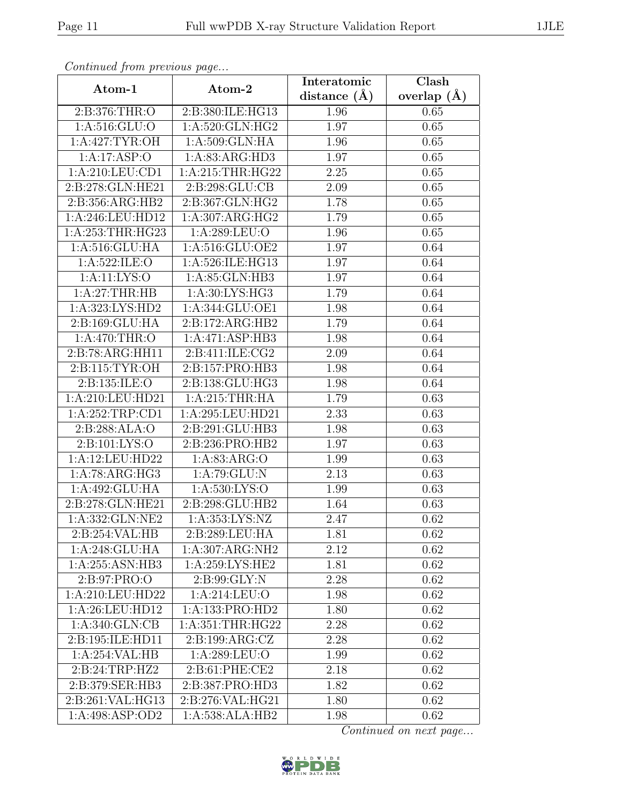| Continueu from pretious page |                            | Interatomic    | Clash         |
|------------------------------|----------------------------|----------------|---------------|
| Atom-1                       | Atom-2                     | distance $(A)$ | overlap $(A)$ |
| 2:B:376:THR:O                | 2:B:380:ILE:HG13           | 1.96           | 0.65          |
| 1:A:516:GLU:O                | 1: A:520: GLN: HG2         | 1.97           | 0.65          |
| 1: A:427: TYR:OH             | 1:A:509:GLN:HA             | 1.96           | 0.65          |
| 1:A:17:ASP:O                 | 1:A:83:ARG:HD3             | 1.97           | 0.65          |
| 1:A:210:LEU:CD1              | 1:A:215:THR:HG22           | 2.25           | 0.65          |
| 2:B:278:GLN:HE21             | 2:B:298:GLU:CB             | 2.09           | 0.65          |
| 2:B:356:ARG:HB2              | 2:B:367:GLN:HG2            | 1.78           | 0.65          |
| 1:A:246:LEU:HD12             | 1:A:307:ARG:HG2            | 1.79           | 0.65          |
| 1:A:253:THR:HG23             | 1:A:289:LEU:O              | 1.96           | 0.65          |
| 1: A:516: GLU: HA            | 1:A:516:GLU:OE2            | 1.97           | 0.64          |
| 1:A:522:ILE:O                | 1:A:526:ILE:HG13           | 1.97           | 0.64          |
| 1:A:11:LYS:O                 | 1:A:85:GLN:HB3             | 1.97           | 0.64          |
| 1: A:27:THR:HB               | 1:A:30:LYS:HG3             | 1.79           | 0.64          |
| 1:A:323:LYS:HD2              | 1:A:344:GLU:OE1            | 1.98           | 0.64          |
| 2:B:169:GLU:HA               | 2:B:172:ARG:HB2            | 1.79           | 0.64          |
| 1: A:470:THR:O               | 1:A:471:ASP:HB3            | 1.98           | 0.64          |
| 2:B:78:ARG:HH11              | 2:B:411:ILE:CG2            | 2.09           | 0.64          |
| 2:B:115:TYR:OH               | 2:B:157:PRO:HB3            | 1.98           | 0.64          |
| 2:B:135:ILE:O                | 2:B:138:GLU:HG3            | 1.98           | 0.64          |
| 1:A:210:LEU:HD21             | 1: A:215:THR:HA            | 1.79           | 0.63          |
| 1:A:252:TRP:CD1              | 1:A:295:LEU:HD21           | 2.33           | 0.63          |
| 2:B:288:ALA:O                | 2:B:291:GLU:HB3            | 1.98           | 0.63          |
| 2:Bi:101:LYS:O               | 2:B:236:PRO:HB2            | 1.97           | 0.63          |
| 1:A:12:LEU:HD22              | 1: A:83: ARG:O             | 1.99           | 0.63          |
| 1:A:78:ARG:HG3               | 1:A:79:GLU:N               | 2.13           | 0.63          |
| 1:A:492:GLU:HA               | $1:\overline{A:530:LYS:O}$ | 1.99           | 0.63          |
| 2:B:278:GLN:HE21             | 2:B:298:GLU:HB2            | 1.64           | 0.63          |
| 1:A:332:GLN:NE2              | 1:A:353:LYS:NZ             | 2.47           | 0.62          |
| 2:B:254:VAL:HB               | 2:B:289:LEU:HA             | 1.81           | 0.62          |
| 1:A:248:GLU:HA               | 1:A:307:ARG:NH2            | 2.12           | 0.62          |
| 1:A:255:ASN:HB3              | 1:A:259:LYS:HE2            | 1.81           | 0.62          |
| 2:B:97:PRO:O                 | 2: B:99: GLY:N             | 2.28           | 0.62          |
| 1:A:210:LEU:HD22             | 1:A:214:LEU:O              | 1.98           | 0.62          |
| 1: A:26:LEU:HD12             | 1:A:133:PRO:HD2            | 1.80           | 0.62          |
| 1:A:340:GLN:CB               | 1:A:351:THR:HG22           | 2.28           | 0.62          |
| 2:B:195:ILE:HD11             | 2:B:199:ARG:CZ             | 2.28           | 0.62          |
| 1:A:254:VAL:HB               | 1:A:289:LEU:O              | 1.99           | 0.62          |
| 2:B:24:TRP:HZ2               | 2:B:61:PHE:CE2             | 2.18           | 0.62          |
| 2:B:379:SER:HB3              | 2:B:387:PRO:HD3            | 1.82           | 0.62          |
| 2:B:261:VAL:HG13             | 2:B:276:VAL:HG21           | 1.80           | 0.62          |
| 1:A:498:ASP:OD2              | 1:A:538:ALA:HB2            | 1.98           | 0.62          |

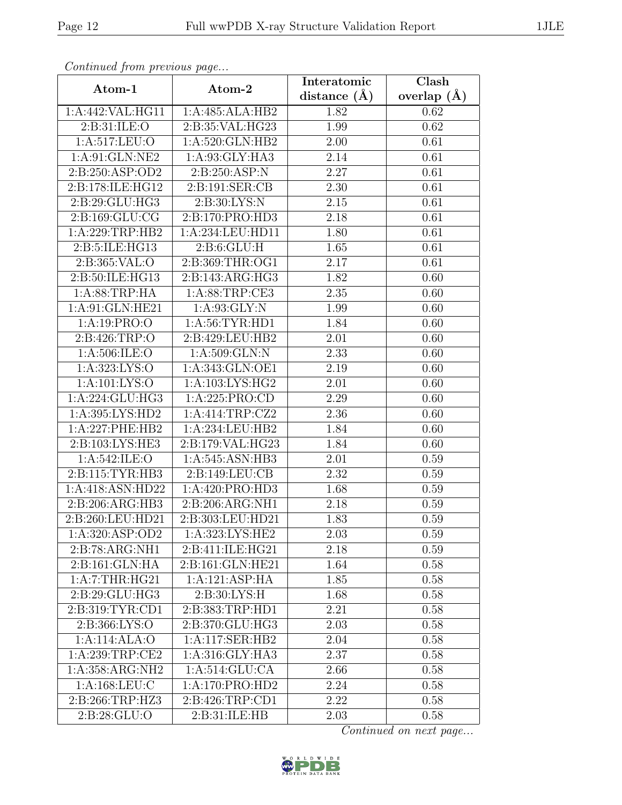| Continua from previous page |                                            | Interatomic      | Clash             |
|-----------------------------|--------------------------------------------|------------------|-------------------|
| Atom-1                      | Atom-2                                     | distance $(\AA)$ | overlap $(\AA)$   |
| 1:A:442:VAL:HG11            | 1:A:485:ALA:HB2                            | 1.82             | 0.62              |
| 2:B:31:ILE:O                | 2:B:35:VAL:HG23                            | 1.99             | 0.62              |
| 1: A:517: LEU:O             | 1: A:520: GLN: HB2                         | 2.00             | 0.61              |
| 1:A:91:GLN:NE2              | 1:A:93:GLY:HA3                             | 2.14             | 0.61              |
| 2:B:250:ASP:OD2             | 2:B:250:ASP:N                              | 2.27             | 0.61              |
| 2:B:178:ILE:HG12            | 2:B:191:SER:CB                             | 2.30             | 0.61              |
| 2:B:29:GLU:HG3              | 2:B:30:LYS:N                               | 2.15             | 0.61              |
| 2:B:169:GLU:CG              | 2:B:170:PRO:HD3                            | 2.18             | 0.61              |
| 1:A:229:TRP:HB2             | 1:A:234:LEU:HD11                           | 1.80             | 0.61              |
| 2:B:5:ILE:HG13              | 2: B:6: GLU: H                             | 1.65             | 0.61              |
| 2:B:365:VAL:O               | 2:B:369:THR:OG1                            | 2.17             | 0.61              |
| 2:B:50:ILE:HG13             | 2:B:143:ARG:HG3                            | 1.82             | 0.60              |
| 1:A:88:TRP:HA               | 1:A:88:TRP:CE3                             | 2.35             | 0.60              |
| 1:A:91:GLN:HE21             | 1: A:93: GLY:N                             | 1.99             | $\overline{0.60}$ |
| 1:A:19:PRO:O                | 1: A:56: TYR: HD1                          | 1.84             | 0.60              |
| 2:B:426:TRP:O               | 2:B:429:LEU:HB2                            | 2.01             | 0.60              |
| 1:A:506:ILE:O               | 1:A:509:GLN:N                              | 2.33             | 0.60              |
| 1:A:323:LYS:O               | 1:A:343:GLN:OE1                            | 2.19             | 0.60              |
| 1:A:101:LYS:O               | 1:A:103:LYS:HG2                            | 2.01             | 0.60              |
| 1:A:224:GLU:HG3             | 1:A:225:PRO:CD                             | 2.29             | 0.60              |
| 1: A:395: LYS: HD2          | 1:A:414:TRP:CZ2                            | 2.36             | 0.60              |
| 1:A:227:PHE:HB2             | 1:A:234:LEU:HB2                            | 1.84             | 0.60              |
| 2:B:103:LYS:HE3             | 2:B:179:VAL:HG23                           | 1.84             | 0.60              |
| 1:A:542:ILE:O               | 1:A:545:ASN:HB3                            | 2.01             | 0.59              |
| 2:B:115:TYR:HB3             | 2: B: 149: LEU: CB                         | 2.32             | 0.59              |
| 1:A:418:ASN:HD22            | 1:A:420:PRO:H <sub>D3</sub>                | 1.68             | 0.59              |
| 2:B:206:ARG:HB3             | $2: B:206: ARG: \overline{NH1}$            | 2.18             | 0.59              |
| 2:B:260:LEU:HD21            | 2:B:303:LEU:HD21                           | 1.83             | 0.59              |
| 1:A:320:ASP:OD2             | 1:A:323:LYS:HE2                            | 2.03             | 0.59              |
| 2:B:78:ARG:NH1              | 2:B:411:ILE:HG21                           | 2.18             | 0.59              |
| 2:B:161:GLN:HA              | 2:B:161:GLN:HE21                           | 1.64             | 0.58              |
| 1:A:7:THR:HG21              | 1:A:121:ASP:HA                             | 1.85             | 0.58              |
| 2:B:29:GLU:HG3              | 2:B:30:LYS:H                               | 1.68             | 0.58              |
| 2:B:319:TYR:CD1             | 2:B:383:TRP:HD1                            | 2.21             | 0.58              |
| 2:B:366:LYS:O               | 2:B:370:GLU:HG3                            | 2.03             | 0.58              |
| 1:A:114:ALA:O               | 1:A:117:SER:HB2                            | 2.04             | 0.58              |
| 1: A:239:TRP:CE2            | 1: A:316: GLY:HA3                          | 2.37             | 0.58              |
| 1:A:358:ARG:NH2             | 1:A:514:GLU:CA                             | 2.66             | 0.58              |
| 1: A: 168: LEU: C           | 1:A:170:PRO:HD2                            | 2.24             | 0.58              |
| 2:B:266:TRP:HZ3             | 2:B:426:TRP:CD1                            | 2.22             | 0.58              |
| 2:B:28:GLU:O                | $2: B:31: \overline{\text{ILE}:\text{HB}}$ | 2.03             | 0.58              |

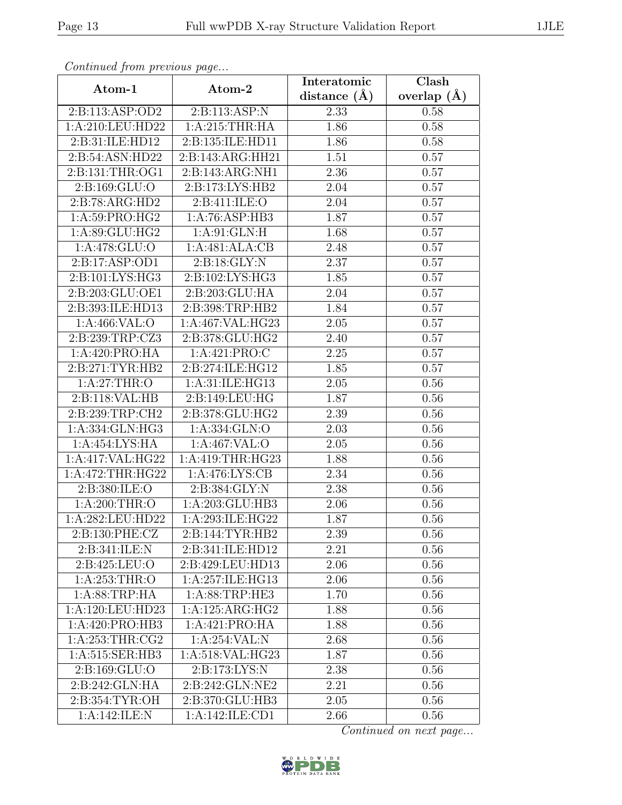| Continueu from pretious page |                     | Interatomic    | $\overline{\text{Clash}}$ |
|------------------------------|---------------------|----------------|---------------------------|
| Atom-1                       | Atom-2              | distance $(A)$ | overlap $(\AA)$           |
| 2:B:113:ASP:OD2              | 2:B:113:ASP:N       | 2.33           | 0.58                      |
| 1:A:210:LEU:HD22             | 1: A:215:THR:HA     | 1.86           | 0.58                      |
| 2:B:31:ILE:HD12              | 2:B:135:ILE:HD11    | 1.86           | 0.58                      |
| 2:B:54:ASN:HD22              | 2:B:143:ARG:HH21    | 1.51           | 0.57                      |
| 2:B:131:THR:OG1              | 2:B:143:ARG:NH1     | 2.36           | 0.57                      |
| 2:B:169:GLU:O                | 2: B: 173: LYS: HB2 | 2.04           | 0.57                      |
| 2:B:78:ARG:HD2               | 2:B:411:ILE:O       | 2.04           | 0.57                      |
| 1: A:59: PRO:HG2             | 1:A:76:ASP:HB3      | 1.87           | 0.57                      |
| 1: A:89: GLU: HG2            | 1: A:91: GLN: H     | 1.68           | 0.57                      |
| 1: A:478: GLU:O              | 1:A:481:ALA:CB      | 2.48           | 0.57                      |
| 2:B:17:ASP:OD1               | 2:B:18:GLY:N        | 2.37           | 0.57                      |
| 2:Bi101:LYS:HG3              | 2:B:102:LYS:HG3     | 1.85           | 0.57                      |
| 2:B:203:GLU:OE1              | 2:B:203:GLU:HA      | 2.04           | 0.57                      |
| 2:B:393:ILE:HD13             | 2:B:398:TRP:HB2     | 1.84           | 0.57                      |
| 1: A:466: VAL:O              | 1:A:467:VAL:HG23    | 2.05           | 0.57                      |
| 2:B:239:TRP:CZ3              | 2:B:378:GLU:HG2     | 2.40           | 0.57                      |
| 1:A:420:PRO:HA               | 1:A:421:PRO:C       | 2.25           | 0.57                      |
| 2: B:271: TYR: HB2           | 2:B:274:ILE:HG12    | 1.85           | 0.57                      |
| 1: A:27:THR:O                | 1:A:31:ILE:HG13     | 2.05           | 0.56                      |
| 2:B:118:VAL:HB               | 2:B:149:LEU:HG      | 1.87           | 0.56                      |
| 2:B:239:TRP:CH2              | 2:B:378:GLU:HG2     | 2.39           | 0.56                      |
| 1:A:334:GLN:HG3              | 1:A:334:GLN:O       | 2.03           | 0.56                      |
| 1:A:454:LYS:HA               | 1:A:467:VAL:O       | 2.05           | 0.56                      |
| 1:A:417:VAL:HG22             | 1:A:419:THR:HG23    | 1.88           | 0.56                      |
| 1:A:472:THR:HG22             | 1:A:476:LYS:CB      | 2.34           | 0.56                      |
| 2: B: 380: ILE:O             | 2: B: 384: GLY: N   | 2.38           | 0.56                      |
| 1:A:200:THR:O                | 1:A:203:GLU:HB3     | 2.06           | 0.56                      |
| 1:A:282:LEU:HD22             | 1:A:293:ILE:HG22    | 1.87           | 0.56                      |
| 2:B:130:PHE:CZ               | 2:B:144:TYR:HB2     | 2.39           | 0.56                      |
| 2:B:341:ILE:N                | 2:B:341:ILE:HD12    | 2.21           | 0.56                      |
| 2: B: 425: LEU: O            | 2:B:429:LEU:HD13    | 2.06           | 0.56                      |
| 1:A:253:THR:O                | 1:A:257:ILE:HG13    | 2.06           | 0.56                      |
| 1: A:88:TRP:HA               | 1: A:88:TRP:HE3     | 1.70           | 0.56                      |
| 1:A:120:LEU:HD23             | 1:A:125:ARG:HG2     | 1.88           | 0.56                      |
| 1:A:420:PRO:HB3              | 1:A:421:PRO:HA      | 1.88           | 0.56                      |
| 1:A:253:THR:CG2              | 1:A:254:VAL:N       | 2.68           | 0.56                      |
| 1:A:515:SER:HB3              | 1:A:518:VAL:HG23    | 1.87           | 0.56                      |
| 2:B:169:GLU:O                | 2:B:173:LYS:N       | 2.38           | 0.56                      |
| 2:B:242:GLN:HA               | 2:B:242:GLN:NE2     | 2.21           | 0.56                      |
| 2:B:354:TYR:OH               | 2:B:370:GLU:HB3     | 2.05           | 0.56                      |
| 1:A:142:ILE:N                | 1:A:142:ILE:CD1     | 2.66           | 0.56                      |

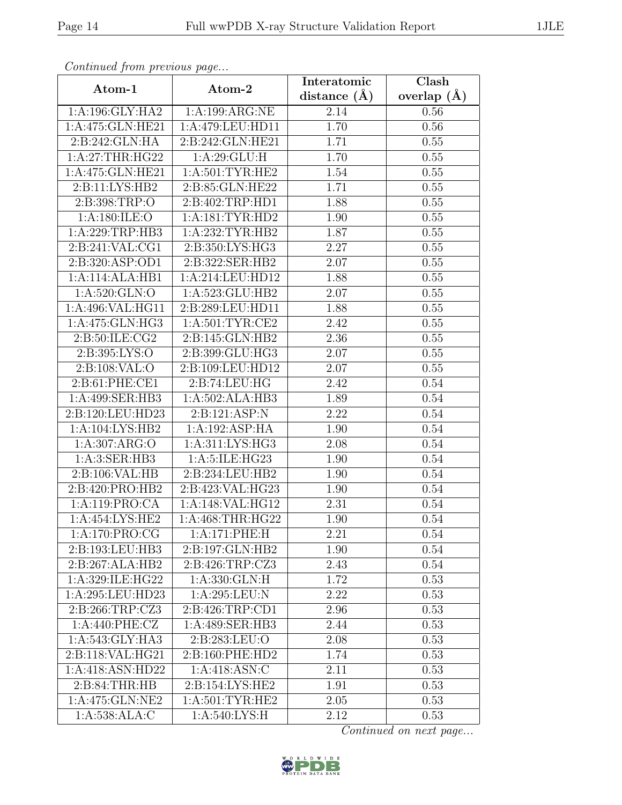| Continuea from previous page    |                    | Interatomic        | Clash         |
|---------------------------------|--------------------|--------------------|---------------|
| Atom-1                          | Atom-2             | distance $(A)$     | overlap $(A)$ |
| 1:A:196:GLY:HA2                 | 1:A:199:ARG:NE     | 2.14               | 0.56          |
| 1:A:475:GLN:HE21                | 1:A:479:LEU:HD11   | 1.70               | 0.56          |
| 2:B:242:GLN:HA                  | 2:B:242:GLN:HE21   | 1.71               | 0.55          |
| 1:A:27:THR:HG22                 | 1: A:29: GLU: H    | 1.70               | 0.55          |
| 1:A:475:GLN:HE21                | 1: A:501:TYR:HE2   | 1.54               | 0.55          |
| 2:B:11:LYS:HB2                  | 2:B:85:GLN:HE22    | 1.71               | 0.55          |
| 2:B:398:TRP:O                   | 2:B:402:TRP:HD1    | $\overline{1}$ .88 | 0.55          |
| 1: A:180: ILE:O                 | 1: A:181: TYR: HD2 | 1.90               | 0.55          |
| 1:A:229:TRP:HB3                 | 1: A:232:TYR:HB2   | 1.87               | 0.55          |
| 2:B:241:VAL:CG1                 | 2:B:350:LYS:HG3    | 2.27               | 0.55          |
| 2: B:320: ASP:OD1               | 2:B:322:SER:HB2    | 2.07               | 0.55          |
| 1:A:114:ALA:HB1                 | 1:A:214:LEU:HD12   | 1.88               | 0.55          |
| 1:A:520:GLN:O                   | 1:A:523:GLU:HB2    | 2.07               | 0.55          |
| 1:A:496:VAL:HG11                | 2:B:289:LEU:HD11   | 1.88               | 0.55          |
| 1:A:475:GLN:HG3                 | 1: A:501:TYR:CE2   | 2.42               | 0.55          |
| 2:B:50:ILE:CG2                  | 2:B:145:GLN:HB2    | 2.36               | 0.55          |
| 2:B:395:LYS:O                   | 2:B:399:GLU:HG3    | 2.07               | 0.55          |
| 2: B: 108: VAL: O               | 2:B:109:LEU:HD12   | 2.07               | 0.55          |
| 2:B:61:PHE:CE1                  | 2:B:74:LEU:HG      | 2.42               | 0.54          |
| 1:A:499:SER:HB3                 | 1:A:502:ALA:HB3    | 1.89               | 0.54          |
| 2:B:120:LEU:HD23                | 2:B:121:ASP:N      | 2.22               | 0.54          |
| 1:A:104:LYS:HB2                 | 1:A:192:ASP:HA     | 1.90               | 0.54          |
| 1:A:307:ARG:O                   | 1:A:311:LYS:HG3    | 2.08               | 0.54          |
| 1:A:3:SER:HB3                   | 1:A:5:ILE:HG23     | 1.90               | 0.54          |
| 2:B:106:VAL:HB                  | 2:B:234:LEU:HB2    | 1.90               | 0.54          |
| $2: B:420: PRO: \overline{HB2}$ | 2:B:423:VAL:HG23   | 1.90               | 0.54          |
| 1:A:119:PRO:CA                  | 1:A:148:VAL:HG12   | 2.31               | 0.54          |
| 1:A:454:LYS:HE2                 | 1:A:468:THR:HG22   | 1.90               | 0.54          |
| 1:A:170:PRO:CG                  | 1:A:171:PHE:H      | 2.21               | 0.54          |
| 2:B:193:LEU:HB3                 | 2:B:197:GLN:HB2    | 1.90               | 0.54          |
| $2:B:267:\overline{ALA:HB2}$    | 2:B:426:TRP:CZ3    | 2.43               | 0.54          |
| 1:A:329:ILE:HG22                | 1: A: 330: GLN: H  | 1.72               | 0.53          |
| 1:A:295:LEU:HD23                | 1:A:295:LEU:N      | 2.22               | 0.53          |
| 2:B:266:TRP:CZ3                 | 2:B:426:TRP:CD1    | 2.96               | 0.53          |
| 1:A:440:PHE:CZ                  | 1:A:489:SER:HB3    | 2.44               | 0.53          |
| 1:A:543:GLY:HA3                 | 2:B:283:LEU:O      | 2.08               | 0.53          |
| 2:B:118:VAL:HG21                | 2:B:160:PHE:HD2    | 1.74               | 0.53          |
| 1:A:418:ASN:HD22                | 1:A:418:ASN:C      | 2.11               | 0.53          |
| 2: B:84:THR:HB                  | 2:B:154:LYS:HE2    | 1.91               | 0.53          |
| 1:A:475:GLN:NE2                 | 1: A:501:TYR:HE2   | 2.05               | 0.53          |
| 1:A:538:ALA:C                   | 1: A:540: LYS:H    | 2.12               | 0.53          |

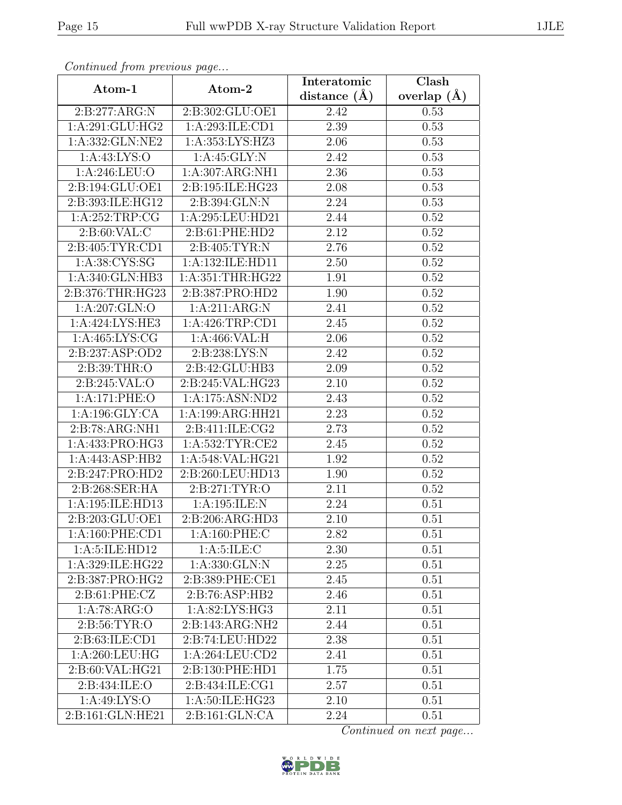| Continueu from pretious page |                     | Interatomic    | $\overline{\text{Clash}}$ |
|------------------------------|---------------------|----------------|---------------------------|
| Atom-1                       | Atom-2              | distance $(A)$ | overlap $(A)$             |
| 2:B:277:ARG:N                | 2:B:302:GLU:OE1     | 2.42           | 0.53                      |
| 1:A:291:GLU:HG2              | 1:A:293:ILE:CD1     | 2.39           | 0.53                      |
| 1:A:332:GLN:NE2              | 1:A:353:LYS:HZ3     | 2.06           | 0.53                      |
| 1: A:43: LYS:O               | 1: A:45: GLY:N      | 2.42           | 0.53                      |
| 1:A:246:LEU:O                | 1:A:307:ARG:NH1     | 2.36           | 0.53                      |
| 2:B:194:GLU:OE1              | 2:B:195:ILE:HG23    | 2.08           | 0.53                      |
| 2:B:393:ILE:HG12             | 2:B:394:GLN:N       | 2.24           | 0.53                      |
| 1:A:252:TRP:CG               | 1:A:295:LEU:HD21    | 2.44           | 0.52                      |
| 2:B:60:VAL:C                 | 2:B:61:PHE:HD2      | 2.12           | 0.52                      |
| 2:B:405:TYR:CD1              | 2: B:405: TYR:N     | 2.76           | 0.52                      |
| 1: A:38: CYS:SG              | 1:A:132:ILE:HD11    | 2.50           | 0.52                      |
| 1:A:340:GLN:HB3              | 1:A:351:THR:HG22    | 1.91           | 0.52                      |
| 2:B:376:THR:HG23             | 2:B:387:PRO:HD2     | 1.90           | 0.52                      |
| 1: A:207: GLN:O              | 1:A:211:ARG:N       | 2.41           | 0.52                      |
| 1:A:424:LYS:HE3              | 1:A:426:TRP:CD1     | 2.45           | 0.52                      |
| 1: A:465: LYS: CG            | 1:A:466:VAL:H       | 2.06           | 0.52                      |
| 2:B:237:ASP:OD2              | 2:B:238:LYS:N       | 2.42           | 0.52                      |
| 2:B:39:THR:O                 | 2:B:42:GLU:HB3      | 2.09           | 0.52                      |
| 2:B:245:VAL:O                | 2:B:245:VAL:HG23    | 2.10           | 0.52                      |
| 1:A:171:PHE:O                | 1:A:175:ASN:ND2     | 2.43           | 0.52                      |
| 1:A:196:GLY:CA               | 1:A:199:ARG:HH21    | 2.23           | 0.52                      |
| 2:B:78:ARG:NH1               | 2: B: 411: ILE: CG2 | 2.73           | 0.52                      |
| 1:A:433:PRO:HG3              | 1: A:532:TYR:CE2    | 2.45           | 0.52                      |
| 1:A:443:ASP:HB2              | 1:A:548:VAL:HG21    | 1.92           | 0.52                      |
| 2:B:247:PRO:HD2              | 2:B:260:LEU:HD13    | 1.90           | 0.52                      |
| 2:B:268:SER:HA               | 2: B:271: TYR:O     | 2.11           | 0.52                      |
| 1:A:195:ILE:HD13             | 1:A:195:ILE:N       | 2.24           | 0.51                      |
| 2:B:203:GLU:OE1              | 2:B:206:ARG:HD3     | 2.10           | 0.51                      |
| 1: A:160: PHE:CD1            | 1:A:160:PHE:C       | 2.82           | 0.51                      |
| 1:A:5:ILE:HD12               | 1: A:5: ILE:C       | 2.30           | 0.51                      |
| 1:A:329:ILE:HG22             | 1:A:330:GLN:N       | 2.25           | 0.51                      |
| 2:B:387:PRO:HG2              | 2:B:389:PHE:CE1     | 2.45           | 0.51                      |
| 2: B: 61: PHE: CZ            | 2:B:76:ASP:HB2      | 2.46           | 0.51                      |
| 1:A:78:ARG:O                 | 1:A:82:LYS:HG3      | 2.11           | 0.51                      |
| 2: B:56: TYR:O               | 2:B:143:ARG:NH2     | 2.44           | 0.51                      |
| 2:B:63:ILE:CD1               | 2:B:74:LEU:HD22     | 2.38           | 0.51                      |
| 1: A:260:LEU:HG              | 1: A:264:LEU:CD2    | 2.41           | 0.51                      |
| 2:B:60:VAL:HG21              | 2:B:130:PHE:HD1     | 1.75           | 0.51                      |
| 2:B:434:ILE:O                | 2:B:434:ILE:CG1     | 2.57           | 0.51                      |
| 1: A:49: LYS:O               | 1:A:50:ILE:HG23     | 2.10           | 0.51                      |
| 2:B:161:GLN:HE21             | 2:B:161:GLN:CA      | 2.24           | 0.51                      |

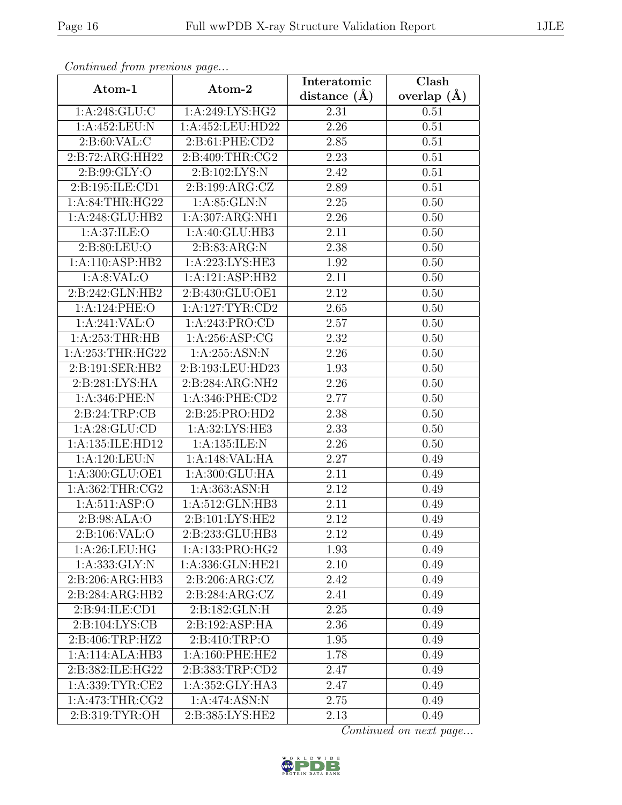| Continua from previous page  |                                              | Interatomic    | Clash         |
|------------------------------|----------------------------------------------|----------------|---------------|
| Atom-1                       | Atom-2                                       | distance $(A)$ | overlap $(A)$ |
| 1:A:248:GLU:C                | 1: A:249: LYS: HG2                           | 2.31           | 0.51          |
| 1:A:452:LEU:N                | 1:A:452:LEU:HD22                             | 2.26           | 0.51          |
| 2: B:60: VAL: C              | 2: B:61: PHE:CD2                             | 2.85           | 0.51          |
| 2:B:72:ARG:HH22              | 2:B:409:THR:CG2                              | 2.23           | 0.51          |
| 2:B:99:GLY:O                 | 2:B:102:LYS:N                                | 2.42           | 0.51          |
| 2:B:195:ILE:CD1              | 2:B:199:ARG:CZ                               | 2.89           | 0.51          |
| 1: A:84:THR:HG22             | 1: A:85: GLN:N                               | 2.25           | 0.50          |
| 1:A:248:GLU:HB2              | 1:A:307:ARG:NH1                              | 2.26           | 0.50          |
| 1:A:37:ILE:O                 | 1:A:40:GLU:HB3                               | 2.11           | 0.50          |
| 2: B:80: LEU:O               | 2: B: 83: ARG: N                             | 2.38           | 0.50          |
| 1:A:110:ASP:HB2              | 1:A:223:LYS:HE3                              | 1.92           | 0.50          |
| 1: A:8: VAL:O                | 1:A:121:ASP:HB2                              | 2.11           | 0.50          |
| 2:B:242:GLN:HB2              | 2:B:430:GLU:OE1                              | 2.12           | 0.50          |
| 1:A:124:PHE:O                | 1: A:127: TYR: CD2                           | 2.65           | 0.50          |
| 1:A:241:VAL:O                | 1:A:243:PRO:CD                               | 2.57           | 0.50          |
| 1: A:253:THR:HB              | 1: A:256: ASP:CG                             | 2.32           | 0.50          |
| 1:A:253:THR:HG22             | 1: A:255: ASN:N                              | 2.26           | 0.50          |
| 2:B:191:SER:HB2              | 2:B:193:LEU:HD23                             | 1.93           | 0.50          |
| 2:B:281:LYS:HA               | 2:B:284:ARG:NH2                              | 2.26           | 0.50          |
| 1:A:346:PHE:N                | 1: A:346: PHE:CD2                            | 2.77           | 0.50          |
| 2:B:24:TRP:CB                | 2:B:25:PRO:HD2                               | 2.38           | 0.50          |
| 1: A:28: GLU:CD              | 1:A:32:LYS:HE3                               | 2.33           | 0.50          |
| 1:A:135:ILE:HD12             | 1: A: 135: ILE:N                             | 2.26           | 0.50          |
| 1:A:120:LEU:N                | 1:A:148: VAL: HA                             | 2.27           | 0.49          |
| 1:A:300:GLU:OE1              | 1:A:300:GLU:HA                               | 2.11           | 0.49          |
| 1: A:362:THR:CG2             | 1:A:363:ASN:H                                | 2.12           | 0.49          |
| 1:A:511:ASP:O                | 1:A:512:GLN:HB3                              | 2.11           | 0.49          |
| 2:B:98:ALA:O                 | 2:B:101:LYS:HE2                              | 2.12           | 0.49          |
| 2:B:106:VAL:O                | 2:B:233:GLU:HB3                              | 2.12           | 0.49          |
| 1: A:26:LEU:HG               | 1:A:133:PRO:HG2                              | 1.93           | 0.49          |
| 1: A: 333: GLY:N             | 1:A:336:GLN:HE21                             | 2.10           | 0.49          |
| 2:B:206:ARG:HB3              | 2: B:206: ARG: CZ                            | 2.42           | 0.49          |
| $2:B:284:ARG:H\overline{B2}$ | $2: B:284: \text{ARG}: \overline{\text{CZ}}$ | 2.41           | 0.49          |
| 2:B:94:ILE:CD1               | 2:B:182:GLN:H                                | 2.25           | 0.49          |
| 2:B:104:LYS:CB               | 2:B:192:ASP:HA                               | 2.36           | 0.49          |
| 2:B:406:TRP:HZ2              | 2:B:410:TRP:O                                | 1.95           | 0.49          |
| 1:A:114:ALA:HB3              | 1: A:160: PHE:HE2                            | 1.78           | 0.49          |
| 2:B:382:ILE:HG22             | 2:B:383:TRP:CD2                              | 2.47           | 0.49          |
| 1: A: 339: TYR: CE2          | 1: A: 352: GLY: HA3                          | 2.47           | 0.49          |
| 1: A:473:THR:CG2             | 1:A:474:ASN:N                                | 2.75           | 0.49          |
| 2:B:319:TYR:OH               | 2:B:385:LYS:HE2                              | 2.13           | 0.49          |

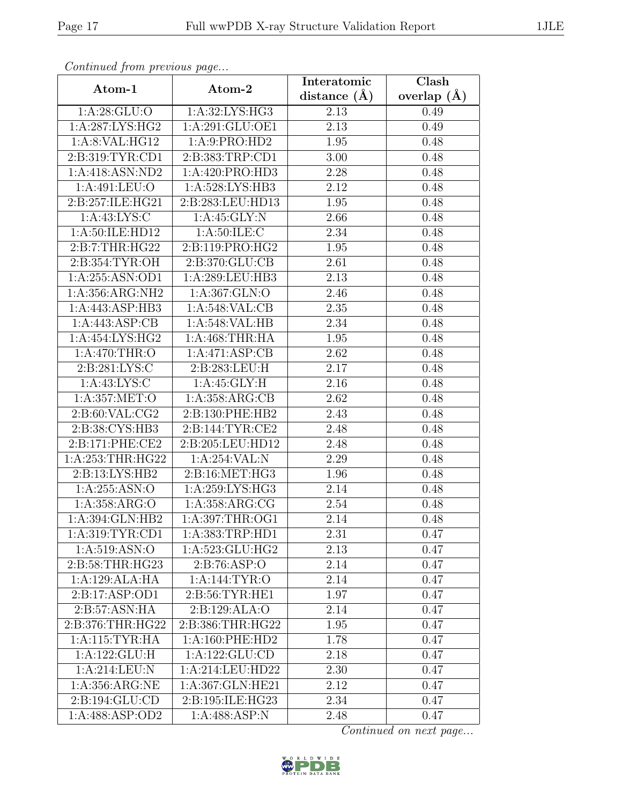| Continuea from previous page |                                | Interatomic       | Clash         |
|------------------------------|--------------------------------|-------------------|---------------|
| Atom-1                       | Atom-2                         | distance $(\AA)$  | overlap $(A)$ |
| 1: A:28: GLU:O               | 1:A:32:LYS:HG3                 | 2.13              | 0.49          |
| 1:A:287:LYS:HG2              | 1:A:291:GLU:OE1                | $\overline{2.13}$ | 0.49          |
| 1:A:8:VAL:HG12               | 1: A:9: PRO:HD2                | 1.95              | 0.48          |
| 2:B:319:TYR:CD1              | 2:B:383:TRP:CD1                | 3.00              | 0.48          |
| 1:A:418:ASN:ND2              | 1:A:420:PRO:HD3                | 2.28              | 0.48          |
| 1:A:491:LEU:O                | 1:A:528:LYS:HB3                | 2.12              | 0.48          |
| 2:B:257:ILE:HG21             | 2:B:283:LEU:HD13               | 1.95              | 0.48          |
| 1:A:43:LYS:C                 | 1: A:45: GLY:N                 | 2.66              | 0.48          |
| 1: A:50: ILE:HD12            | 1: A:50: ILE: C                | 2.34              | 0.48          |
| 2:B:7:THR:HG22               | 2:B:119:PRO:HG2                | 1.95              | 0.48          |
| 2: B: 354: TYR: OH           | 2:B:370:GLU:CB                 | 2.61              | 0.48          |
| 1:A:255:ASN:OD1              | 1:A:289:LEU:HB3                | 2.13              | 0.48          |
| 1:A:356:ARG:NH2              | 1: A: 367: GLN:O               | 2.46              | 0.48          |
| 1:A:443:ASP:HB3              | 1:A:548:VAL:CB                 | 2.35              | 0.48          |
| 1:A:443:ASP:CB               | 1:A:548:VAL:HB                 | 2.34              | 0.48          |
| 1:A:454:LYS:HG2              | 1:A:468:THR:HA                 | 1.95              | 0.48          |
| 1: A:470:THR:O               | 1:A:471:ASP:CB                 | 2.62              | 0.48          |
| 2: B:281: LYS:C              | 2:B:283:LEU:H                  | 2.17              | 0.48          |
| 1: A: 43: LYS: C             | 1: A:45: GLY:H                 | $\overline{2.16}$ | 0.48          |
| 1:A:357:MET:O                | 1: A: 358: ARG: CB             | 2.62              | 0.48          |
| 2:B:60:VAL:CG2               | 2:B:130:PHE:HB2                | 2.43              | 0.48          |
| 2:B:38:CYS:HB3               | 2:B:144:TYR:CE2                | 2.48              | 0.48          |
| 2:B:171:PHE:CE2              | 2:B:205:LEU:HD12               | $\overline{2}.48$ | 0.48          |
| 1:A:253:THR:HG22             | 1:A:254:VAL:N                  | 2.29              | 0.48          |
| 2:B:13:LYS:HB2               | 2:B:16:MET:HG3                 | 1.96              | 0.48          |
| 1:A:255:ASN:O                | 1:A:259:LYS:HG3                | 2.14              | 0.48          |
| 1:A:358:ARG:O                | 1:A:358:ARG:CG                 | 2.54              | 0.48          |
| 1:A:394:GLN:HB2              | 1:A:397:THR:OG1                | 2.14              | 0.48          |
| 1: A:319: TYR: CD1           | 1:A:383:TRP:HD1                | 2.31              | 0.47          |
| 1: A:519: ASN:O              | 1:A:523:GLU:HG2                | 2.13              | 0.47          |
| 2:B:58:THR:HG23              | 2: B:76: ASP:O                 | 2.14              | 0.47          |
| 1:A:129:ALA:HA               | 1: A:144: TYR:O                | 2.14              | 0.47          |
| 2:B:17:ASP:OD1               | $2: B:56: TYR: \overline{HE1}$ | 1.97              | 0.47          |
| 2:B:57:ASN:HA                | 2:B:129:ALA:O                  | 2.14              | 0.47          |
| 2:B:376:THR:HG22             | 2:B:386:THR:HG22               | 1.95              | 0.47          |
| 1: A:115: TYR: HA            | 1:A:160:PHE:HD2                | 1.78              | 0.47          |
| 1:A:122:GLU:H                | 1: A: 122: GLU: CD             | 2.18              | 0.47          |
| 1:A:214:LEU:N                | 1:A:214:LEU:HD22               | 2.30              | 0.47          |
| 1:A:356:ARG:NE               | 1:A:367:GLN:HE21               | 2.12              | 0.47          |
| 2:B:194:GLU:CD               | 2:B:195:ILE:HG23               | 2.34              | 0.47          |
| 1:A:488:ASP:OD2              | 1: A:488: ASP: N               | 2.48              | 0.47          |

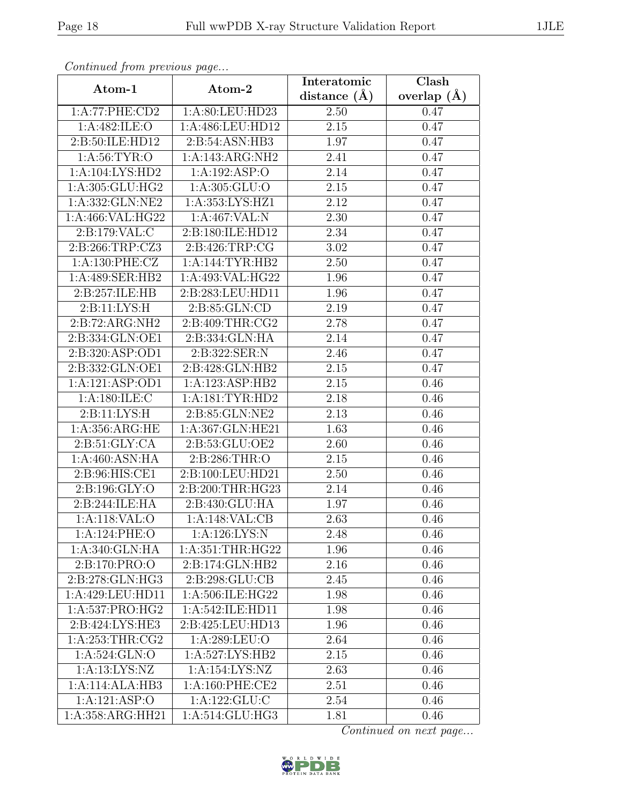| Сонинией јгот ргелоиз раде |                              | Interatomic       | Clash           |
|----------------------------|------------------------------|-------------------|-----------------|
| Atom-1                     | Atom-2                       | distance $(A)$    | overlap $(\AA)$ |
| 1:A:77:PHE:CD2             | 1:A:80:LEU:HD23              | 2.50              | 0.47            |
| 1:A:482:ILE:O              | 1:A:486:LEU:HD12             | 2.15              | 0.47            |
| 2:B:50:ILE:HD12            | 2:B:54:ASN:HB3               | 1.97              | 0.47            |
| 1: A:56: TYR:O             | 1:A:143:ARG:NH2              | 2.41              | 0.47            |
| 1:A:104:LYS:HD2            | 1:A:192:ASP:O                | 2.14              | 0.47            |
| 1:A:305:GLU:HG2            | 1:A:305:GLU:O                | 2.15              | 0.47            |
| 1:A:332:GLN:NE2            | 1:A:353:LYS:HZ1              | $\overline{2.12}$ | 0.47            |
| 1:A:466:VAL:HG22           | 1:A:467:VAL:N                | 2.30              | 0.47            |
| 2:B:179:VAL:C              | 2:B:180:ILE:HD12             | 2.34              | 0.47            |
| 2:B:266:TRP:CZ3            | 2:B:426:TRP:CG               | 3.02              | 0.47            |
| 1:A:130:PHE:CZ             | 1:A:144:TYR:HB2              | 2.50              | 0.47            |
| 1:A:489:SER:HB2            | 1:A:493:VAL:HG22             | 1.96              | 0.47            |
| 2:B:257:ILE:HB             | 2:B:283:LEU:HD11             | 1.96              | 0.47            |
| 2:Bi:11:LYS:H              | $2: B:85: \overline{GLN:CD}$ | 2.19              | 0.47            |
| 2:B:72:ARG:NH2             | 2:B:409:THR:CG2              | 2.78              | 0.47            |
| 2:B:334:GLN:OE1            | 2:B:334:GLN:HA               | 2.14              | 0.47            |
| 2:B:320:ASP:OD1            | 2:B:322:SER:N                | 2.46              | 0.47            |
| 2:B:332:GLN:OE1            | 2:B:428:GLN:HB2              | 2.15              | 0.47            |
| 1:A:121:ASP:OD1            | 1:A:123:ASP:HB2              | 2.15              | 0.46            |
| 1: A:180: ILE:C            | 1: A: 181: TYR: HD2          | 2.18              | 0.46            |
| 2:B:11:LYS:H               | 2:B:85:GLN:NE2               | 2.13              | 0.46            |
| 1:A:356:ARG:HE             | 1:A:367:GLN:HE21             | 1.63              | 0.46            |
| 2: B:51: GLY:CA            | 2:B:53:GLU:OE2               | 2.60              | 0.46            |
| 1:A:460:ASN:HA             | $2: \overline{B:286:THR:O}$  | 2.15              | 0.46            |
| 2:B:96:HIS:CE1             | 2:B:100:LEU:HD21             | 2.50              | 0.46            |
| 2:B:196:GLY:O              | 2:B:200:THR:HG23             | 2.14              | 0.46            |
| 2:B:244:ILE:HA             | 2:B:430:GLU:HA               | 1.97              | 0.46            |
| 1:A:118:VAL:O              | 1:A:148:VAL:CB               | 2.63              | 0.46            |
| 1:A:124:PHE:O              | 1:A:126:LYS:N                | 2.48              | 0.46            |
| 1:A:340:GLN:HA             | 1: A:351:THR:HG22            | 1.96              | 0.46            |
| 2:B:170:PRO:O              | 2:B:174:GLN:HB2              | 2.16              | 0.46            |
| 2:B:278:GLN:HG3            | 2:B:298:GLU:CB               | 2.45              | 0.46            |
| 1:A:429:LEU:HD11           | 1:A:506:ILE:HG22             | 1.98              | 0.46            |
| 1:A:537:PRO:HG2            | 1:A:542:ILE:HD11             | 1.98              | 0.46            |
| 2:B:424:LYS:HE3            | 2:B:425:LEU:HD13             | 1.96              | 0.46            |
| 1: A:253:THR:CG2           | 1:A:289:LEU:O                | 2.64              | 0.46            |
| 1: A:524: GLN:O            | 1: A:527: LYS: HB2           | 2.15              | 0.46            |
| 1:A:13:LYS:NZ              | 1:A:154:LYS:NZ               | 2.63              | 0.46            |
| 1:A:114:ALA:HB3            | 1: A:160: PHE:CE2            | 2.51              | 0.46            |
| 1:A:121:ASP:O              | 1:A:122:GLU:C                | 2.54              | 0.46            |
| 1:A:358:ARG:HH21           | 1:A:514:GLU:HG3              | 1.81              | 0.46            |

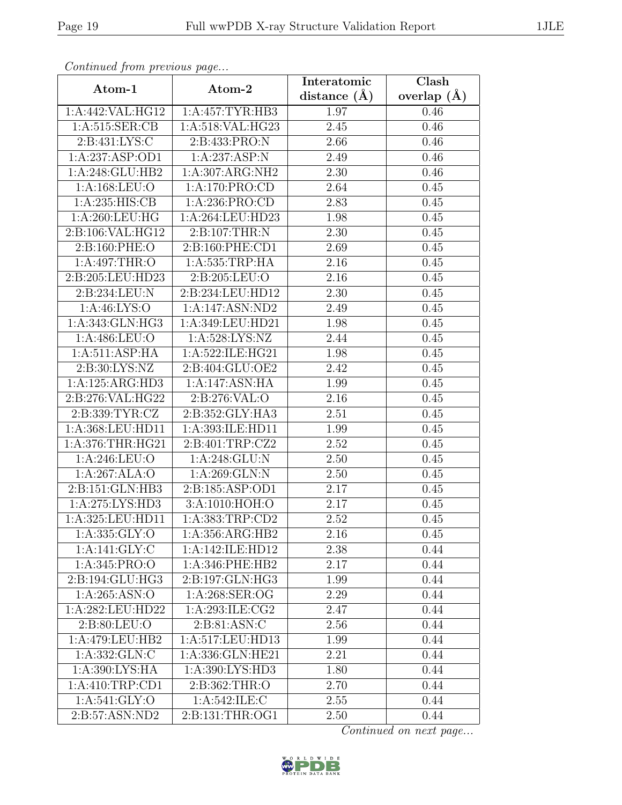| Continuea from previous page |                   | Interatomic       | Clash           |
|------------------------------|-------------------|-------------------|-----------------|
| Atom-1                       | Atom-2            | distance $(A)$    | overlap $(\AA)$ |
| 1:A:442:VAL:HG12             | 1:A:457:TYR:HB3   | 1.97              | 0.46            |
| 1:A:515:SER:CB               | 1:A:518:VAL:HG23  | $\overline{2.45}$ | 0.46            |
| 2:B:431:LYS:C                | 2:B:433:PRO:N     | 2.66              | 0.46            |
| 1:A:237:ASP:OD1              | 1:A:237:ASP:N     | 2.49              | 0.46            |
| 1:A:248:GLU:HB2              | 1:A:307:ARG:NH2   | 2.30              | 0.46            |
| 1:A:168:LEU:O                | 1:A:170:PRO:CD    | 2.64              | 0.45            |
| 1: A:235: HIS: CB            | 1:A:236:PRO:CD    | 2.83              | 0.45            |
| 1:A:260:LEU:HG               | 1:A:264:LEU:HD23  | 1.98              | 0.45            |
| 2:B:106:VAL:HG12             | 2:B:107:THR:N     | 2.30              | 0.45            |
| 2:B:160:PHE:O                | 2:B:160:PHE:CD1   | 2.69              | 0.45            |
| 1:A:497:THR:O                | $1:$ A:535:TRP:HA | 2.16              | 0.45            |
| 2:B:205:LEU:HD23             | 2:B:205:LEU:O     | 2.16              | 0.45            |
| 2:B:234:LEU:N                | 2:B:234:LEU:HD12  | 2.30              | 0.45            |
| 1:A:46:LYS:O                 | 1:A:147:ASN:ND2   | 2.49              | 0.45            |
| 1:A:343:GLN:HG3              | 1:A:349:LEU:HD21  | 1.98              | 0.45            |
| 1:A:486:LEU:O                | 1:A:528:LYS:NZ    | 2.44              | 0.45            |
| 1:A:511:ASP:HA               | 1:A:522:ILE:HG21  | 1.98              | 0.45            |
| 2:B:30:LYS:NZ                | 2:B:404:GLU:OE2   | 2.42              | 0.45            |
| 1:A:125:ARG:HD3              | 1:A:147:ASN:HA    | 1.99              | 0.45            |
| 2:B:276:VAL:HG22             | 2:B:276:VAL:O     | 2.16              | 0.45            |
| 2: B: 339: TYR: CZ           | 2:B:352:GLY:HA3   | $\overline{2.51}$ | 0.45            |
| 1:A:368:LEU:HD11             | 1:A:393:ILE:HD11  | 1.99              | 0.45            |
| 1:A:376:THR:HG21             | 2:B:401:TRP:CZ2   | 2.52              | 0.45            |
| 1:A:246:LEU:O                | 1:A:248:GLU:N     | 2.50              | 0.45            |
| 1:A:267:ALA:O                | 1:A:269:GLN:N     | 2.50              | 0.45            |
| 2:B:151:GLN:HB3              | 2:B:185:ASP:OD1   | 2.17              | 0.45            |
| 1:A:275:LYS:HD3              | 3:A:1010:HOH:O    | $\overline{2.17}$ | 0.45            |
| 1:A:325:LEU:HD11             | 1:A:383:TRP:CD2   | 2.52              | 0.45            |
| 1: A: 335: GLY:O             | 1:A:356:ARG:HB2   | 2.16              | 0.45            |
| 1:A:141:GLY:C                | 1:A:142:ILE:HD12  | 2.38              | 0.44            |
| 1:A:345:PRO:O                | 1: A:346: PHE:HB2 | 2.17              | 0.44            |
| 2:B:194:GLU:HG3              | 2:B:197:GLN:HG3   | 1.99              | 0.44            |
| 1: A:265: ASN:O              | 1: A:268: SER:OG  | 2.29              | 0.44            |
| 1:A:282:LEU:HD22             | 1:A:293:ILE:CG2   | 2.47              | 0.44            |
| 2:B:80:LEU:O                 | 2:B:81:ASN:C      | 2.56              | 0.44            |
| 1:A:479:LEU:HB2              | 1:A:517:LEU:HD13  | 1.99              | 0.44            |
| 1: A: 332: GLN: C            | 1:A:336:GLN:HE21  | 2.21              | 0.44            |
| 1:A:390:LYS:HA               | 1:A:390:LYS:HD3   | 1.80              | 0.44            |
| 1:A:410:TRP:CD1              | 2:B:362:THR:O     | 2.70              | 0.44            |
| 1: A:541: GLY:O              | 1: A:542: ILE:C   | 2.55              | 0.44            |
| 2:B:57:ASN:ND2               | 2:B:131:THR:OG1   | 2.50              | 0.44            |

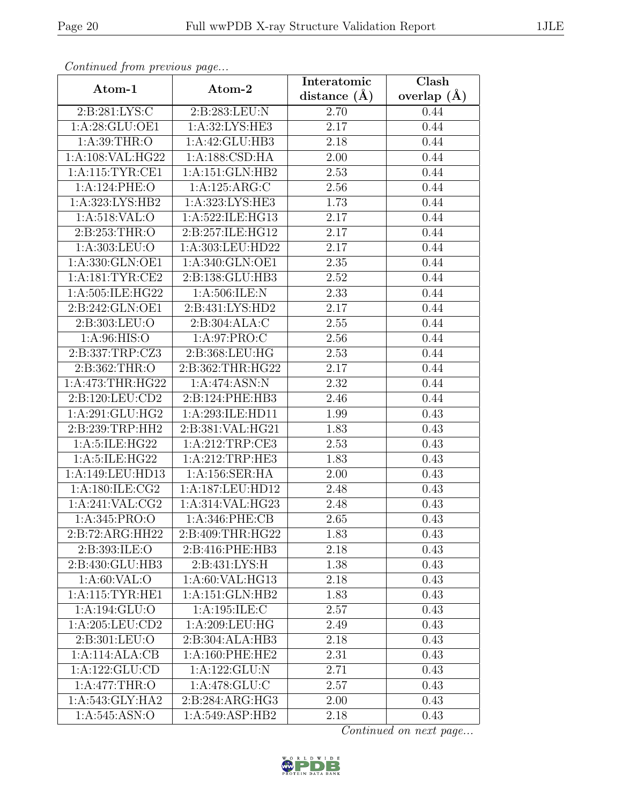| Continued from previous page |                    | Interatomic       | Clash           |  |
|------------------------------|--------------------|-------------------|-----------------|--|
| Atom-1                       | Atom-2             | distance $(\AA)$  | overlap $(\AA)$ |  |
| 2:B:281:LYS:C                | 2:B:283:LEU:N      | 2.70              | 0.44            |  |
| 1:A:28:GLU:OE1               | 1: A:32: LYS: HE3  | 2.17              | 0.44            |  |
| 1: A:39:THR:O                | 1:A:42:GLU:HB3     | 2.18              | 0.44            |  |
| 1:A:108:VAL:HG22             | 1:A:188:CSD:HA     | 2.00              | 0.44            |  |
| 1: A:115: TYR: CE1           | 1:A:151:GLN:HB2    | $\overline{2.53}$ | 0.44            |  |
| 1:A:124:PHE:O                | 1:A:125:ARG:C      | 2.56              | 0.44            |  |
| 1:A:323:LYS:HB2              | 1:A:323:LYS:HE3    | 1.73              | 0.44            |  |
| 1: A:518: VAL:O              | 1:A:522:ILE:HG13   | 2.17              | 0.44            |  |
| 2:B:253:THR:O                | 2:B:257:ILE:HG12   | 2.17              | 0.44            |  |
| 1: A: 303: LEU: O            | 1:A:303:LEU:HD22   | 2.17              | 0.44            |  |
| 1:A:330:GLN:OE1              | 1:A:340:GLN:OE1    | 2.35              | 0.44            |  |
| 1:A:181:TYR:CE2              | 2:B:138:GLU:HB3    | 2.52              | 0.44            |  |
| 1:A:505:ILE:HG22             | 1:A:506:ILE:N      | 2.33              | 0.44            |  |
| 2:B:242:GLN:OE1              | 2:B:431:LYS:HD2    | 2.17              | 0.44            |  |
| 2:B:303:LEU:O                | 2:B:304:ALA:C      | 2.55              | 0.44            |  |
| 1: A:96: HIS:O               | 1:A:97:PRO:C       | 2.56              | 0.44            |  |
| 2:B:337:TRP:CZ3              | 2:B:368:LEU:HG     | 2.53              | 0.44            |  |
| 2:B:362:THR:O                | 2:B:362:THR:HG22   | 2.17              | 0.44            |  |
| 1:A:473:THR:HG22             | 1:A:474:ASN:N      | 2.32              | 0.44            |  |
| 2:B:120:LEU:CD2              | 2:B:124:PHE:HB3    | 2.46              | 0.44            |  |
| 1:A:291:GLU:HG2              | 1:A:293:ILE:HD11   | 1.99              | 0.43            |  |
| 2:B:239:TRP:HH2              | 2:B:381:VAL:HG21   | 1.83              | 0.43            |  |
| 1:A:5:ILE:HG22               | 1:A:212:TRP:CE3    | 2.53              | 0.43            |  |
| 1:A:5:ILE:HG22               | 1:A:212:TRP:HE3    | 1.83              | 0.43            |  |
| 1:A:149:LEU:HD13             | 1:A:156:SER:HA     | $2.00\,$          | 0.43            |  |
| 1: A:180: ILE: CG2           | 1:A:187:LEU:HD12   | 2.48              | 0.43            |  |
| 1:A:241:VAL:CG2              | 1:A:314:VAL:HG23   | 2.48              | 0.43            |  |
| 1: A:345: PRO:O              | $1: A:346:$ PHE:CB | 2.65              | 0.43            |  |
| $2:B:72:ARG:\overline{HH22}$ | 2:B:409:THR:HG22   | 1.83              | 0.43            |  |
| 2:B:393:ILE:O                | 2:B:416:PHE:HB3    | 2.18              | 0.43            |  |
| 2:B:430:GLU:HB3              | 2:B:431:LYS:H      | 1.38              | 0.43            |  |
| 1: A:60: VAL:O               | 1:A:60:VAL:HG13    | 2.18              | 0.43            |  |
| 1: A:115: TYR: HE1           | 1:A:151:GLN:HB2    | 1.83              | 0.43            |  |
| 1: A: 194: GLU: O            | 1:A:195:ILE:C      | 2.57              | 0.43            |  |
| 1: A:205: LEU:CD2            | 1:A:209:LEU:HG     | 2.49              | 0.43            |  |
| 2:B:301:LEU:O                | 2:B:304:ALA:HB3    | 2.18              | 0.43            |  |
| 1:A:114:ALA:CB               | 1:A:160:PHE:HE2    | 2.31              | 0.43            |  |
| 1:A:122:GLU:CD               | 1:A:122:GLU:N      | 2.71              | 0.43            |  |
| 1:A:477:THR:O                | 1: A:478: GLU: C   | 2.57              | 0.43            |  |
| 1:A:543:GLY:HA2              | 2:B:284:ARG:HG3    | 2.00              | 0.43            |  |
| 1:A:545:ASN:O                | 1:A:549:ASP:HB2    | 2.18              | 0.43            |  |

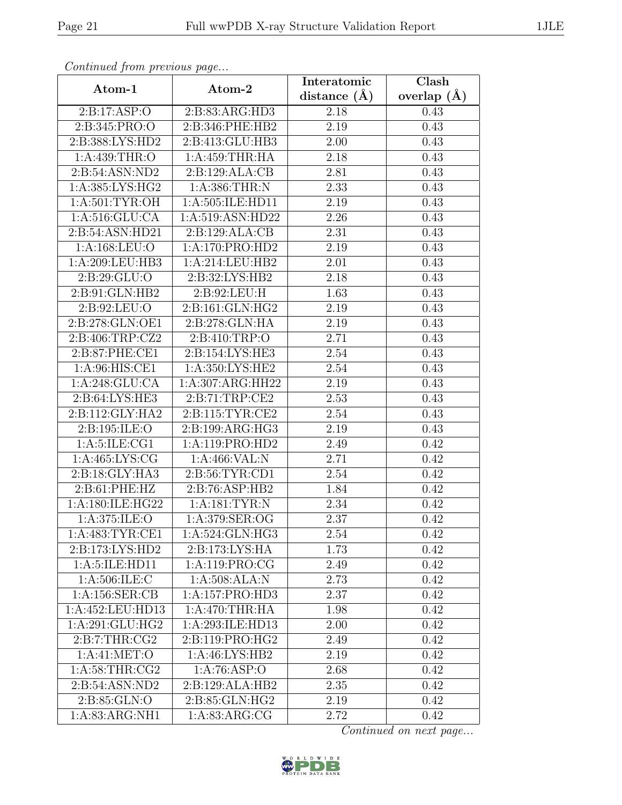| Continua from previous page |                    | Interatomic      | Clash           |
|-----------------------------|--------------------|------------------|-----------------|
| Atom-1                      | Atom-2             | distance $(\AA)$ | overlap $(\AA)$ |
| 2:B:17:ASP:O                | 2:B:83:ARG:HD3     | 2.18             | 0.43            |
| 2:B:345:PRO:O               | 2:B:346:PHE:HB2    | 2.19             | 0.43            |
| 2:B:388:LYS:HD2             | 2:B:413:GLU:HB3    | $2.00\,$         | 0.43            |
| 1:A:439:THR:O               | 1:A:459:THR:HA     | 2.18             | 0.43            |
| 2:B:54:ASN:ND2              | 2:B:129:ALA:CB     | 2.81             | 0.43            |
| 1: A: 385: LYS: HG2         | 1: A: 386: THEN: N | 2.33             | 0.43            |
| 1:A:501:TYR:OH              | 1:A:505:ILE:HD11   | 2.19             | 0.43            |
| 1: A:516: GLU:CA            | 1:A:519:ASN:HD22   | 2.26             | 0.43            |
| 2:B:54:ASN:HD21             | 2:B:129:ALA:CB     | 2.31             | 0.43            |
| 1:A:168:LEU:O               | 1:A:170:PRO:HD2    | 2.19             | 0.43            |
| 1:A:209:LEU:HB3             | 1:A:214:LEU:HB2    | 2.01             | 0.43            |
| 2: B:29: GLU:O              | 2:B:32:LYS:HB2     | 2.18             | 0.43            |
| 2:B:91:GLN:HB2              | 2:B:92:LEU:H       | 1.63             | 0.43            |
| 2:B:92:LEU:O                | 2:B:161:GLN:HG2    | 2.19             | 0.43            |
| 2:B:278:GLN:OE1             | 2:B:278:GLN:HA     | 2.19             | 0.43            |
| 2:B:406:TRP:CZ2             | 2:B:410:TRP:O      | 2.71             | 0.43            |
| 2:B:87:PHE:CE1              | 2:B:154:LYS:HE3    | 2.54             | 0.43            |
| 1: A:96: HIS: CE1           | 1:A:350:LYS:HE2    | 2.54             | 0.43            |
| 1:A:248:GLU:CA              | 1:A:307:ARG:HH22   | 2.19             | 0.43            |
| 2:B:64:LYS:HE3              | 2: B:71:TRP:CE2    | 2.53             | 0.43            |
| 2:B:112:GLY:HA2             | 2:B:115:TYR:CE2    | 2.54             | 0.43            |
| 2:B:195:ILE:O               | 2:B:199:ARG:HG3    | 2.19             | 0.43            |
| 1: A: 5: ILE: CG1           | 1:A:119:PRO:HD2    | 2.49             | 0.42            |
| 1: A:465: LYS: CG           | 1:A:466:VAL:N      | 2.71             | 0.42            |
| 2:B:18:GLY:HA3              | 2:B:56:TYR:CD1     | 2.54             | 0.42            |
| 2: B:61: PHE:HZ             | 2: B:76: ASP:HB2   | 1.84             | 0.42            |
| 1:A:180:ILE:HG22            | 1:A:181:TYR:N      | 2.34             | 0.42            |
| 1: A:375: ILE:O             | 1:A:379:SER:OG     | 2.37             | 0.42            |
| 1: A:483: TYR: CE1          | 1:A:524:GLN:HG3    | 2.54             | 0.42            |
| 2:B:173:LYS:HD2             | 2:B:173:LYS:HA     | $1.73\,$         | 0.42            |
| 1: A:5: ILE: HD11           | 1: A: 119: PRO: CG | 2.49             | 0.42            |
| 1: A:506: ILE:C             | 1: A:508: ALA: N   | 2.73             | 0.42            |
| 1: A: 156: SER: CB          | 1:A:157:PRO:HD3    | 2.37             | 0.42            |
| 1:A:452:LEU:HD13            | 1:A:470:THR:HA     | 1.98             | 0.42            |
| 1:A:291:GLU:HG2             | 1:A:293:ILE:HD13   | 2.00             | 0.42            |
| 2: B: 7: THR: CG2           | 2:B:119:PRO:HG2    | 2.49             | 0.42            |
| 1:A:41:MET:O                | 1:A:46:LYS:HB2     | 2.19             | 0.42            |
| 1: A:58:THR:CG2             | 1:A:76:ASP:O       | 2.68             | 0.42            |
| 2:B:54:ASN:ND2              | 2:B:129:ALA:HB2    | 2.35             | 0.42            |
| 2:B:85:GLN:O                | 2: B: 85: GLN: HG2 | 2.19             | 0.42            |
| 1:A:83:ARG:NH1              | 1: A:83: ARG: CG   | 2.72             | 0.42            |

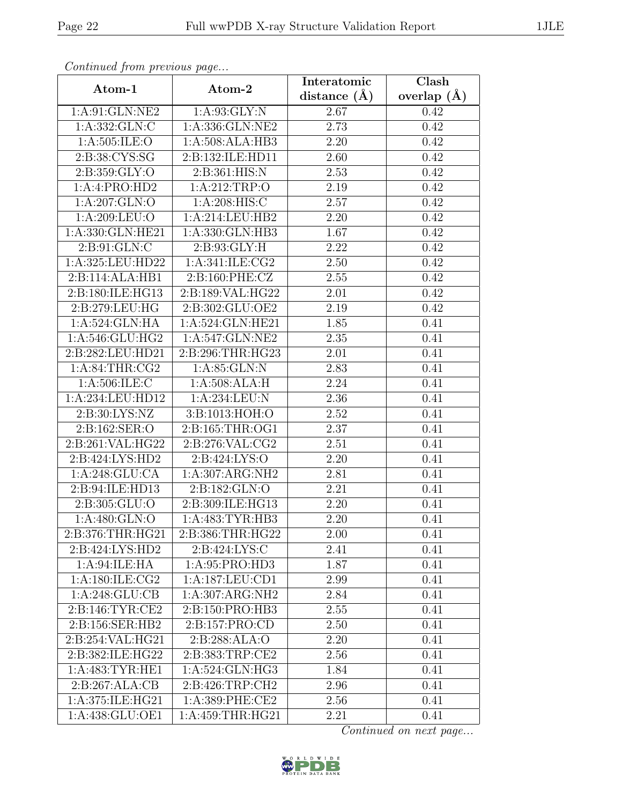| Continueu from pretious page |                                | Interatomic    | $\overline{\text{Clash}}$ |
|------------------------------|--------------------------------|----------------|---------------------------|
| Atom-1                       | Atom-2                         | distance $(A)$ | overlap $(\AA)$           |
| 1:A:91:GLN:NE2               | 1: A:93: GLY:N                 | 2.67           | 0.42                      |
| 1:A:332:GLN:C                | 1:A:336:GLN:NE2                | 2.73           | 0.42                      |
| 1: A:505: ILE: O             | 1:A:508:ALA:HB3                | 2.20           | 0.42                      |
| 2:B:38:CYS:SG                | 2:B:132:ILE:HD11               | 2.60           | 0.42                      |
| 2:B:359:GLY:O                | 2:B:361:HIS:N                  | 2.53           | 0.42                      |
| 1:A:4:PRO:HD2                | 1:A:212:TRP:O                  | 2.19           | 0.42                      |
| 1:A:207:GLN:O                | 1:A:208:HIS:C                  | 2.57           | 0.42                      |
| 1:A:209:LEU:O                | 1:A:214:LEU:HB2                | 2.20           | 0.42                      |
| 1:A:330:GLN:HE21             | 1:A:330:GLN:HB3                | 1.67           | 0.42                      |
| 2:B:91:GLN:C                 | 2:B:93:GLY:H                   | 2.22           | 0.42                      |
| 1:A:325:LEU:HD22             | 1:A:341:ILE:CG2                | 2.50           | 0.42                      |
| 2:B:114:ALA:HB1              | 2:B:160:PHE:CZ                 | 2.55           | 0.42                      |
| 2:B:180:ILE:HG13             | 2:B:189:VAL:HG22               | 2.01           | 0.42                      |
| 2:B:279:LEU:HG               | $2: B:302: \overline{GLU:OE2}$ | 2.19           | 0.42                      |
| 1:A:524:GLN:HA               | 1:A:524:GLN:HE21               | 1.85           | 0.41                      |
| 1:A:546:GLU:HG2              | 1:A:547:GLN:NE2                | 2.35           | 0.41                      |
| 2:B:282:LEU:HD21             | 2:B:296:THR:HG23               | 2.01           | 0.41                      |
| 1: A:84:THR:CG2              | 1: A:85: GLN:N                 | 2.83           | 0.41                      |
| 1:A:506:ILE:C                | 1:A:508:ALA:H                  | 2.24           | 0.41                      |
| 1:A:234:LEU:HD12             | 1: A:234:LEU:N                 | 2.36           | 0.41                      |
| 2:B:30:LYS:NZ                | 3:B:1013:HOH:O                 | 2.52           | 0.41                      |
| 2:B:162:SER:O                | 2:B:165:THR:OG1                | 2.37           | 0.41                      |
| 2:B:261:VAL:HG22             | 2: B:276: VAL: CG2             | 2.51           | 0.41                      |
| 2:B:424:LYS:HD2              | 2:B:424:LYS:O                  | 2.20           | 0.41                      |
| 1:A:248:GLU:CA               | 1:A:307:ARG:NH2                | 2.81           | 0.41                      |
| 2:B:94:ILE:HD13              | 2: B: 182: GLN: O              | 2.21           | 0.41                      |
| 2:B:305:GLU:O                | 2:B:309:ILE:HG13               | 2.20           | 0.41                      |
| 1:A:480:GLN:O                | 1:A:483:TYR:HB3                | 2.20           | 0.41                      |
| 2:B:376:THR:HG21             | 2:B:386:THR:HG22               | 2.00           | 0.41                      |
| 2:B:424:LYS:HD2              | 2:B:424:LYS:C                  | 2.41           | 0.41                      |
| 1:A:94:ILE:HA                | 1:A:95:PRO:HD3                 | 1.87           | 0.41                      |
| 1: A:180: ILE: CG2           | 1:A:187:LEU:CD1                | 2.99           | 0.41                      |
| 1: A:248: GLU:CB             | $1:A:307:ARG:\overline{NH2}$   | 2.84           | 0.41                      |
| 2:B:146:TYR:CE2              | 2:B:150:PRO:HB3                | 2.55           | 0.41                      |
| 2:B:156:SER:HB2              | 2:B:157:PRO:CD                 | 2.50           | 0.41                      |
| 2:B:254:VAL:HG21             | 2:B:288:ALA:O                  | 2.20           | 0.41                      |
| 2:B:382:ILE:HG22             | 2:B:383:TRP:CE2                | 2.56           | 0.41                      |
| 1: A:483: TYR: HE1           | 1:A:524:GLN:HG3                | 1.84           | 0.41                      |
| 2:B:267:ALA:CB               | 2:B:426:TRP:CH2                | 2.96           | 0.41                      |
| 1:A:375:ILE:HG21             | 1:A:389:PHE:CE2                | 2.56           | 0.41                      |
| 1:A:438:GLU:OE1              | 1: A: 459: THR: HG21           | 2.21           | 0.41                      |

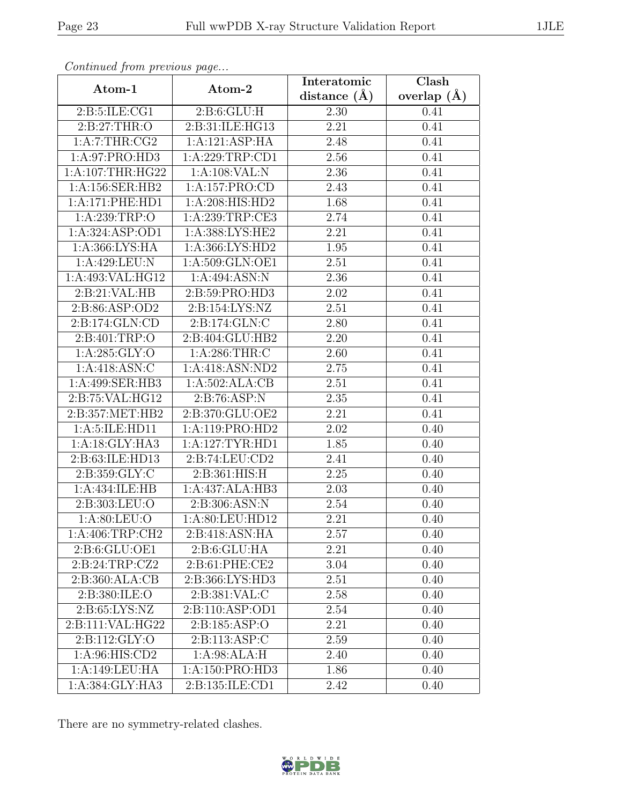| Continuati jibin protibus puga |                   | Interatomic       | Clash           |
|--------------------------------|-------------------|-------------------|-----------------|
| Atom-1                         | Atom-2            | distance $(\AA)$  | overlap $(\AA)$ |
| 2: B: 5: ILE: CG1              | 2: B:6: GLU: H    | 2.30              | 0.41            |
| 2:B:27:THR:O                   | 2:B:31:ILE:HG13   | $\overline{2.21}$ | 0.41            |
| 1:A:7:THR:CG2                  | 1:A:121:ASP:HA    | 2.48              | 0.41            |
| 1:A:97:PRO:HD3                 | 1:A:229:TRP:CD1   | 2.56              | 0.41            |
| 1: A:107:THR:HG22              | 1:A:108:VAL:N     | 2.36              | 0.41            |
| 1:A:156:SER:HB2                | 1:A:157:PRO:CD    | 2.43              | 0.41            |
| 1:A:171:PHE:HD1                | 1:A:208:HIS:HD2   | 1.68              | 0.41            |
| 1:A:239:TRP:O                  | 1: A:239:TRP:CE3  | 2.74              | 0.41            |
| 1:A:324:ASP:OD1                | 1:A:388:LYS:HE2   | 2.21              | 0.41            |
| 1:A:366:LYS:HA                 | 1:A:366:LYS:HD2   | 1.95              | 0.41            |
| 1:A:429:LEU:N                  | 1:A:509:GLN:OE1   | 2.51              | 0.41            |
| 1:A:493:VAL:HG12               | 1:A:494:ASN:N     | 2.36              | 0.41            |
| 2:B:21:VAL:HB                  | 2:B:59:PRO:HD3    | 2.02              | 0.41            |
| 2:B:86:ASP:OD2                 | 2:B:154:LYS:NZ    | 2.51              | 0.41            |
| 2:B:174:GLN:CD                 | 2:B:174:GLN:C     | 2.80              | 0.41            |
| 2:B:401:TRP:O                  | 2:B:404:GLU:HB2   | 2.20              | 0.41            |
| 1: A:285: GLY:O                | 1: A:286:THR:C    | 2.60              | 0.41            |
| 1: A:418: ASN: C               | 1:A:418:ASN:ND2   | 2.75              | 0.41            |
| 1:A:499:SER:HB3                | 1:A:502:ALA:CB    | 2.51              | 0.41            |
| 2: B: 75: VAL: HG12            | 2: B:76: ASP:N    | 2.35              | 0.41            |
| 2:B:357:MET:HB2                | 2:B:370:GLU:OE2   | $\overline{2.21}$ | 0.41            |
| 1:A:5:ILE:HD11                 | 1: A:119: PRO:HD2 | 2.02              | 0.40            |
| 1:A:18:GLY:HA3                 | 1:A:127:TYR:HD1   | 1.85              | 0.40            |
| 2:B:63:ILE:HD13                | 2:B:74:LEU:CD2    | 2.41              | 0.40            |
| 2:B:359:GLY:C                  | 2:B:361:HIS:H     | 2.25              | 0.40            |
| 1:A:434:ILE:HB                 | 1:A:437:ALA:HB3   | 2.03              | 0.40            |
| 2:B:303:LEU:O                  | 2:B:306:ASN:N     | 2.54              | 0.40            |
| 1: A:80: LEU:O                 | 1: A:80: LEU:HD12 | 2.21              | 0.40            |
| 1: A:406:TRP:CH2               | 2:B:418:ASN:HA    | 2.57              | 0.40            |
| 2:B:6:GLU:OE1                  | 2: B:6: GLU: HA   | 2.21              | 0.40            |
| 2:B:24:TRP:CZ2                 | 2:B:61:PHE:CE2    | 3.04              | 0.40            |
| 2:B:360:ALA:CB                 | 2:B:366:LYS:HD3   | 2.51              | 0.40            |
| 2:B:380:ILE:O                  | 2:B:381:VAL:C     | 2.58              | 0.40            |
| 2: B:65: LYS:NZ                | 2:B:110:ASP:OD1   | $2.54\,$          | 0.40            |
| 2:B:111:VAL:HG22               | 2: B: 185: ASP: O | 2.21              | 0.40            |
| 2:B:112:GLY:O                  | 2:B:113:ASP:C     | 2.59              | 0.40            |
| 1:A:96:HIS:CD2                 | 1:A:98:ALA:H      | 2.40              | 0.40            |
| 1:A:149:LEU:HA                 | 1:A:150:PRO:HD3   | 1.86              | 0.40            |
| 1:A:384:GLY:HA3                | 2:B:135:ILE:CD1   | 2.42              | 0.40            |

There are no symmetry-related clashes.

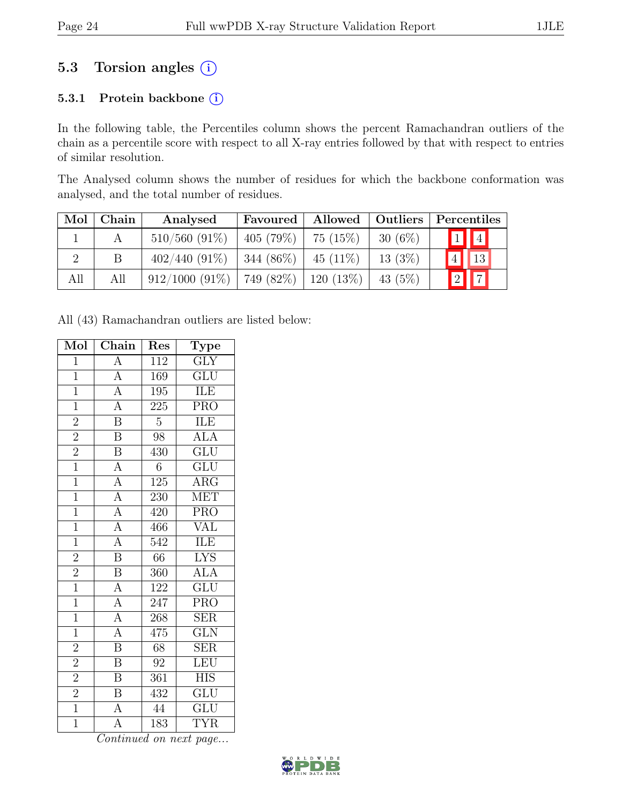### 5.3 Torsion angles  $(i)$

#### 5.3.1 Protein backbone (i)

In the following table, the Percentiles column shows the percent Ramachandran outliers of the chain as a percentile score with respect to all X-ray entries followed by that with respect to entries of similar resolution.

The Analysed column shows the number of residues for which the backbone conformation was analysed, and the total number of residues.

| Mol | $ $ Chain | Analysed                       | Favoured   | Allowed   Outliers |           | Percentiles             |  |
|-----|-----------|--------------------------------|------------|--------------------|-----------|-------------------------|--|
|     |           | $510/560$ (91\%)               | 405(79%)   | 75(15%)            | $30(6\%)$ | $\boxed{1}$ $\boxed{4}$ |  |
|     |           | $402/440(91\%)$                | 344 (86\%) | $45(11\%)$         | 13(3%)    | $\sqrt{4}$ $\sqrt{13}$  |  |
| All | All       | $912/1000 (91\%)$   749 (82\%) |            | $120(13\%)$        | 43 (5%)   | $\boxed{2}$ $\boxed{7}$ |  |

All (43) Ramachandran outliers are listed below:

| Mol            | Chain                                                                   | Res              | <b>Type</b>             |
|----------------|-------------------------------------------------------------------------|------------------|-------------------------|
| $\overline{1}$ | $\overline{A}$                                                          | $\overline{112}$ | $\overline{\text{GLY}}$ |
| $\overline{1}$ |                                                                         | 169              | $\overline{\text{GLU}}$ |
| $\overline{1}$ | $\frac{\overline{A}}{\overline{A}}$                                     | $\overline{195}$ | ILE                     |
| $\overline{1}$ |                                                                         | $225\,$          | <b>PRO</b>              |
| $\overline{2}$ | $\overline{\mathbf{B}}$                                                 | $\overline{5}$   | ILE                     |
| $\overline{2}$ | $\overline{\mathbf{B}}$                                                 | $\overline{98}$  | <b>ALA</b>              |
| $\overline{2}$ | $\overline{\text{B}}$                                                   | 430              | $\overline{{\rm GLU}}$  |
| $\overline{1}$ | $\overline{A}$                                                          | $\overline{6}$   | $\overline{\text{GLU}}$ |
| $\overline{1}$ | $\overline{A}$                                                          | $125\,$          | $\overline{\text{ARG}}$ |
| $\overline{1}$ |                                                                         | 230              | <b>MET</b>              |
| $\overline{1}$ |                                                                         | 420              | $\overline{\text{PRO}}$ |
| $\overline{1}$ | $\frac{\overline{A}}{\overline{A}}$ $\frac{\overline{A}}{\overline{A}}$ | 466              | <b>VAL</b>              |
| $\overline{1}$ |                                                                         | $\overline{542}$ | ILE                     |
| $\overline{2}$ | $\overline{\mathbf{B}}$                                                 | 66               | <b>LYS</b>              |
| $\overline{2}$ | $\overline{\mathbf{B}}$                                                 | 360              | <b>ALA</b>              |
| $\overline{1}$ | $\overline{A}$                                                          | 122              | $\overline{\text{GLU}}$ |
| $\overline{1}$ | $\overline{A}$                                                          | $247\,$          | PRO                     |
| $\overline{1}$ | $\frac{\overline{A}}{\overline{A}}$                                     | 268              | $\overline{\text{SER}}$ |
| $\overline{1}$ |                                                                         | 475              | $\overline{\text{GLN}}$ |
| $\overline{2}$ |                                                                         | $\overline{68}$  | $\overline{\text{SER}}$ |
| $\overline{2}$ | $\overline{B}$                                                          | 92               | LEU                     |
| $\overline{2}$ | $\overline{\mathbf{B}}$                                                 | $\overline{361}$ | <b>HIS</b>              |
| $\overline{2}$ | $\overline{\mathbf{B}}$                                                 | 432              | GLU                     |
| $\overline{1}$ | $\overline{A}$                                                          | 44               | GLU                     |
| $\overline{1}$ | $\overline{\rm A}$                                                      | 183              | TYR                     |

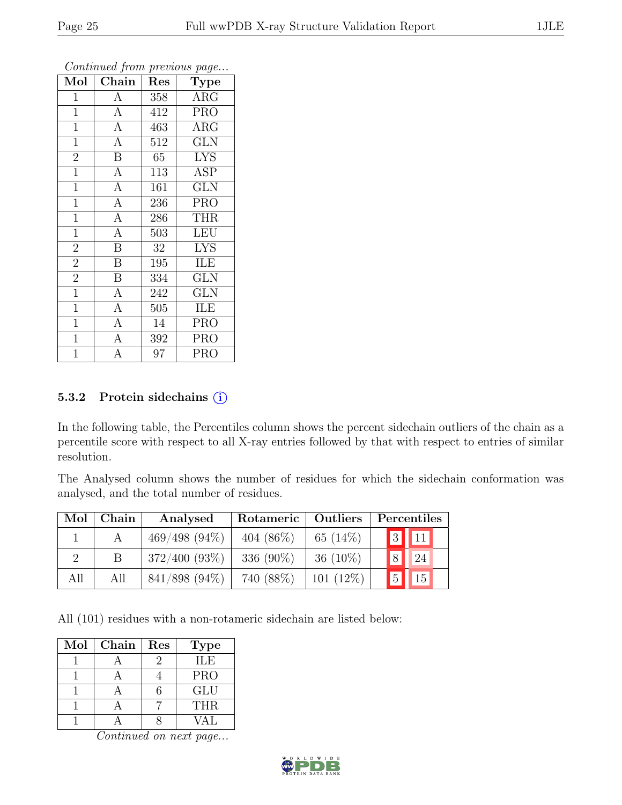| Mol            | Chain                   | Res | Type       |
|----------------|-------------------------|-----|------------|
| $\mathbf{1}$   | $\mathbf{A}$            | 358 | $\rm{ARG}$ |
| $\mathbf{1}$   | $\overline{A}$          | 412 | <b>PRO</b> |
| $\mathbf{1}$   | $\overline{A}$          | 463 | $\rm{ARG}$ |
| $\mathbf{1}$   | $\mathbf{A}$            | 512 | <b>GLN</b> |
| $\overline{2}$ | $\overline{\mathrm{B}}$ | 65  | <b>LYS</b> |
| $\mathbf{1}$   | $\overline{A}$          | 113 | ASP        |
| $\mathbf{1}$   | $\overline{A}$          | 161 | <b>GLN</b> |
| $\overline{1}$ | $\overline{A}$          | 236 | <b>PRO</b> |
| $\mathbf{1}$   | $\overline{A}$          | 286 | <b>THR</b> |
| $\overline{1}$ | $\overline{A}$          | 503 | <b>LEU</b> |
| $\overline{2}$ | $\overline{B}$          | 32  | <b>LYS</b> |
| $\overline{2}$ | $\overline{\mathrm{B}}$ | 195 | ILE        |
| $\overline{2}$ | $\boldsymbol{B}$        | 334 | <b>GLN</b> |
| $\mathbf{1}$   | $\overline{A}$          | 242 | <b>GLN</b> |
| $\mathbf{1}$   | $\overline{A}$          | 505 | ILE        |
| $\mathbf{1}$   | $\overline{A}$          | 14  | <b>PRO</b> |
| $\mathbf{1}$   | $\overline{A}$          | 392 | <b>PRO</b> |
| $\overline{1}$ | A                       | 97  | <b>PRO</b> |

#### 5.3.2 Protein sidechains  $(i)$

In the following table, the Percentiles column shows the percent sidechain outliers of the chain as a percentile score with respect to all X-ray entries followed by that with respect to entries of similar resolution.

The Analysed column shows the number of residues for which the sidechain conformation was analysed, and the total number of residues.

| Mol      | Chain        | Analysed         | Rotameric    | Outliers    | Percentiles                                                 |
|----------|--------------|------------------|--------------|-------------|-------------------------------------------------------------|
|          |              | $469/498(94\%)$  | 404 $(86\%)$ | 65 $(14\%)$ | $\begin{array}{ c c c }\hline 3 & 11 \\ \hline \end{array}$ |
| $\Omega$ | <sup>B</sup> | $372/400 (93\%)$ | 336 $(90\%)$ | $36(10\%)$  | 8 24                                                        |
| All      | All          | 841/898 (94%)    | 740 (88%)    | $101(12\%)$ | $15^{\degree}$<br> 5                                        |

All (101) residues with a non-rotameric sidechain are listed below:

| Mol | Chain | Res | <b>Type</b> |
|-----|-------|-----|-------------|
|     |       |     | ILE         |
|     |       |     | <b>PRO</b>  |
|     |       |     | <b>GLU</b>  |
|     |       |     | <b>THR</b>  |
|     |       |     | JAT.        |

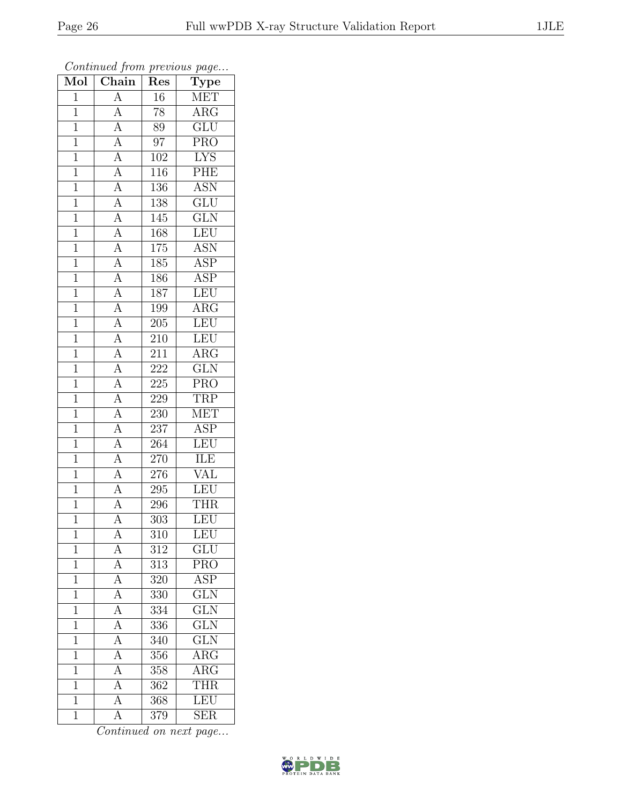| Mol            | Chain                                                                   | $\mathbf{r}$ .<br>Res | $r - 3$<br>$\overline{\mathrm{Type}}$ |
|----------------|-------------------------------------------------------------------------|-----------------------|---------------------------------------|
| $\mathbf{1}$   | $\overline{A}$                                                          | 16                    | <b>MET</b>                            |
| $\overline{1}$ | $\overline{A}$                                                          | 78                    | $\overline{\text{ARG}}$               |
| $\overline{1}$ | $\overline{A}$                                                          | 89                    | $\overline{\text{GLU}}$               |
| $\mathbf{1}$   |                                                                         | 97                    | PRO                                   |
| $\overline{1}$ | $\frac{\overline{A}}{\overline{A}}$                                     | 102                   | <b>LYS</b>                            |
| $\overline{1}$ | $\overline{A}$                                                          | 116                   | PHE                                   |
| $\overline{1}$ | $\overline{A}$                                                          | 136                   | <b>ASN</b>                            |
| $\overline{1}$ | $\overline{A}$                                                          | 138                   | $\overline{\text{GLU}}$               |
| $\mathbf{1}$   | $\overline{A}$                                                          | 145                   | $\widetilde{{\rm GLN}}$               |
| $\overline{1}$ | $\overline{A}$                                                          | 168                   | LEU                                   |
| $\overline{1}$ | $\overline{A}$                                                          | 175                   | ASN                                   |
| $\overline{1}$ | $\overline{A}$                                                          | 185                   | <b>ASP</b>                            |
| $\mathbf{1}$   |                                                                         | 186                   | <b>ASP</b>                            |
| $\mathbf{1}$   | $\frac{\overline{A}}{\overline{A}}$ $\frac{\overline{A}}{\overline{A}}$ | 187                   | LEU                                   |
| $\overline{1}$ |                                                                         | 199                   | $\overline{\rm{ARG}}$                 |
| $\mathbf 1$    |                                                                         | 205                   | LEU                                   |
| $\overline{1}$ | $\frac{\overline{A}}{\overline{A}}$                                     | $\overline{210}$      | LEU                                   |
| $\mathbf{1}$   |                                                                         | 211                   | $\rm{ARG}$                            |
| $\mathbf{1}$   |                                                                         | $22\overline{2}$      | $\overline{\text{GLN}}$               |
| $\mathbf{1}$   | $\frac{\overline{A}}{\overline{A}}$                                     | 225                   | PRO                                   |
| $\overline{1}$ |                                                                         | 229                   | TRP                                   |
| $\overline{1}$ | $\frac{\overline{A}}{\overline{A}}$                                     | 230                   | <b>MET</b>                            |
| $\mathbf{1}$   |                                                                         | 237                   | ASP                                   |
| $\mathbf{1}$   | $\overline{A}$                                                          | 264                   | LEU                                   |
| $\overline{1}$ | $\overline{A}$                                                          | 270                   | ILE                                   |
| $\overline{1}$ | $\overline{A}$                                                          | 276                   | <b>VAL</b>                            |
| $\overline{1}$ | $\overline{A}$                                                          | $\overline{2}95$      | LEU                                   |
| $\mathbf{1}$   | $\overline{A}$                                                          | 296                   | <b>THR</b>                            |
| $\overline{1}$ | $\overline{\rm A}$                                                      | 303                   | LEU                                   |
| 1              | А                                                                       | 310                   | LEU                                   |
| $\overline{1}$ | $\overline{A}$                                                          | 312                   | GLU                                   |
| $\mathbf{1}$   | $\overline{A}$                                                          | 313                   | $\overline{\text{PRO}}$               |
| $\mathbf{1}$   | $\overline{A}$                                                          | 320                   | <b>ASP</b>                            |
| $\mathbf{1}$   | $\overline{A}$                                                          | 330                   | $\overline{\text{GLN}}$               |
| $\mathbf{1}$   | $\overline{A}$                                                          | 334                   | $\overline{\text{GLN}}$               |
| $\overline{1}$ | $\frac{\overline{A}}{\overline{A}}$                                     | 336                   | $\overline{\text{GLN}}$               |
| $\mathbf{1}$   |                                                                         | $\overline{340}$      | $\overline{\text{GLN}}$               |
| $\mathbf 1$    | $\overline{A}$                                                          | 356                   | $\rm{ARG}$                            |
| $\mathbf 1$    | $\overline{A}$                                                          | 358                   | $\overline{\rm{ARG}}$                 |
| $\mathbf{1}$   | $\overline{A}$                                                          | 362                   | <b>THR</b>                            |
| $\mathbf{1}$   | $\overline{A}$                                                          | 368                   | LEU                                   |
| $\mathbf{1}$   | $\overline{\rm A}$                                                      | 379                   | <b>SER</b>                            |

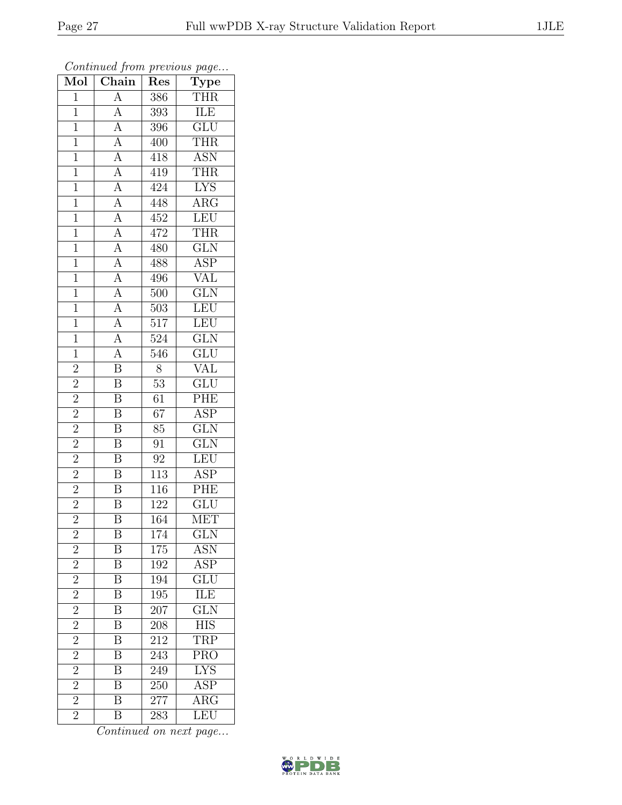| Mol                     | Chain                                                                      | Res              | $F^{\alpha}$ g $\circ \cdots$<br>Type |
|-------------------------|----------------------------------------------------------------------------|------------------|---------------------------------------|
| $\mathbf 1$             | $\overline{A}$                                                             | 386              | <b>THR</b>                            |
| $\mathbf{1}$            |                                                                            | 393              | ILE                                   |
| $\mathbf{1}$            | $\frac{\overline{A}}{\overline{A}}$                                        | 396              | $\overline{\text{GLU}}$               |
| $\mathbf{1}$            |                                                                            | 400              | THR                                   |
| $\overline{1}$          | $\frac{\overline{A}}{\overline{A}}$<br>$\frac{\overline{A}}{\overline{A}}$ | 418              | <b>ASN</b>                            |
| $\mathbf{1}$            |                                                                            | 419              | THR                                   |
| $\mathbf{1}$            |                                                                            | 424              | <b>LYS</b>                            |
| $\overline{1}$          | $\frac{\overline{A}}{\overline{A}}$                                        | 448              | $\overline{\text{ARG}}$               |
| $\overline{1}$          |                                                                            | 452              | LEU                                   |
| $\overline{1}$          |                                                                            | 472              | <b>THR</b>                            |
| $\mathbf{1}$            | $\overline{A}$                                                             | 480              | <b>GLN</b>                            |
| $\overline{1}$          | $\overline{A}$                                                             | 488              | $\overline{\text{ASP}}$               |
| $\mathbf{1}$            | $\frac{A}{A}$                                                              | 496              | <b>VAL</b>                            |
| $\overline{1}$          |                                                                            | 500              | $\overline{\text{GLN}}$               |
| $\overline{1}$          | $\frac{\overline{A}}{\overline{A}}$                                        | 503              | LEU                                   |
| $\mathbf{1}$            |                                                                            | $\overline{5}17$ | LEU                                   |
| $\overline{1}$          |                                                                            | $\overline{524}$ | $\overline{\text{GLN}}$               |
| $\mathbf{1}$            | $\frac{\overline{A}}{\overline{A}}$                                        | 546              | GLU                                   |
| $\overline{2}$          | $\overline{\text{B}}$                                                      | 8                | $\overline{\text{VAL}}$               |
| $\overline{2}$          | $\overline{\mathbf{B}}$                                                    | 53               | GLU                                   |
| $\overline{c}$          | $\overline{\mathbf{B}}$                                                    | 61               | PHE                                   |
| $\overline{2}$          | $\overline{\mathbf{B}}$                                                    | $\overline{67}$  | $\overline{\text{ASP}}$               |
| $\overline{2}$          | $\overline{\mathbf{B}}$                                                    | 85               | $\overline{\text{GLN}}$               |
| $\overline{2}$          | $\overline{\mathrm{B}}$                                                    | 91               | $\overline{\text{GLN}}$               |
| $\overline{2}$          | $\overline{\mathbf{B}}$                                                    | 92               | LEU                                   |
| $\overline{2}$          | $\overline{\mathrm{B}}$                                                    | 113              | <b>ASP</b>                            |
| $\overline{2}$          | $\overline{\mathrm{B}}$                                                    | 116              | PHE                                   |
| $\overline{2}$          | B                                                                          | 122              | GLU                                   |
| $\overline{2}$          | $\overline{\mathrm{B}}$                                                    | 164              | MET                                   |
| $\overline{\mathbf{c}}$ | Β                                                                          | 174              | $_{\rm GLN}$                          |
| $\overline{2}$          | $\overline{\mathrm{B}}$                                                    | 175              | $A\overline{SN}$                      |
| $\frac{2}{2}$           | $\overline{\mathbf{B}}$                                                    | 192              | ASP                                   |
|                         | $\overline{\mathrm{B}}$                                                    | 194              | $\overline{\text{GLU}}$               |
| $\overline{2}$          | $\overline{\mathrm{B}}$                                                    | 195              | $\overline{\text{ILE}}$               |
| $\overline{2}$          | $\overline{\mathbf{B}}$                                                    | 207              | <b>GLN</b>                            |
| $\overline{2}$          | $\overline{\mathrm{B}}$                                                    | 208              | $\overline{HIS}$                      |
| $\overline{2}$          | $\overline{\mathbf{B}}$                                                    | 212              | <b>TRP</b>                            |
| $\overline{2}$          | $\overline{\mathrm{B}}$                                                    | $24\overline{3}$ | $\overline{\text{PRO}}$               |
| $\overline{2}$          | $\overline{\mathrm{B}}$                                                    | 249              | <b>LYS</b>                            |
| $\overline{c}$          | $\overline{\mathbf{B}}$                                                    | 250              | $\overline{\text{ASP}}$               |
| $\overline{2}$          | $\overline{\mathrm{B}}$                                                    | 277              | $\overline{\rm{ARG}}$                 |
| $\overline{2}$          | $\overline{\mathrm{B}}$                                                    | 283              | LEU                                   |

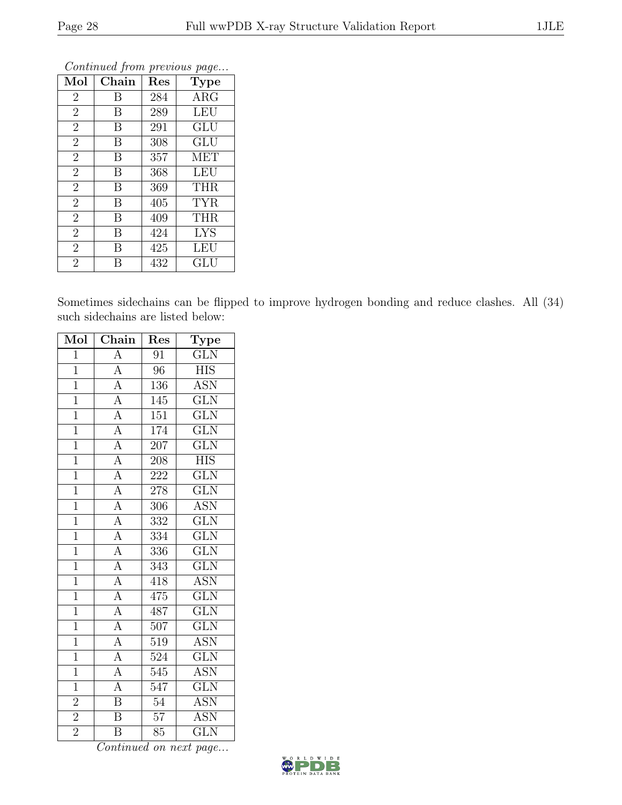| Mol            | Chain | Res | Type       |
|----------------|-------|-----|------------|
| $\overline{2}$ | В     | 284 | ARG        |
| $\overline{2}$ | B     | 289 | <b>LEU</b> |
| $\overline{2}$ | B     | 291 | GLU        |
| $\overline{2}$ | B     | 308 | <b>GLU</b> |
| $\overline{2}$ | B     | 357 | MET        |
| $\overline{2}$ | B     | 368 | LEU        |
| $\overline{2}$ | B     | 369 | <b>THR</b> |
| $\overline{2}$ | B     | 405 | <b>TYR</b> |
| $\overline{2}$ | B     | 409 | <b>THR</b> |
| $\overline{2}$ | B     | 424 | <b>LYS</b> |
| $\overline{2}$ | B     | 425 | LEU        |
| $\overline{2}$ | В     | 432 | GLU        |

Sometimes sidechains can be flipped to improve hydrogen bonding and reduce clashes. All (34) such sidechains are listed below:

| Mol            | Chain                                                                                                                                                                                                         | Res              | Type                    |
|----------------|---------------------------------------------------------------------------------------------------------------------------------------------------------------------------------------------------------------|------------------|-------------------------|
| $\mathbf{1}$   | $\overline{A}$                                                                                                                                                                                                | 91               | $\overline{\text{GLN}}$ |
| $\overline{1}$ | $\frac{1}{A}$                                                                                                                                                                                                 | $\overline{96}$  | <b>HIS</b>              |
| $\overline{1}$ |                                                                                                                                                                                                               | 136              | $\overline{ASN}$        |
| $\overline{1}$ |                                                                                                                                                                                                               | 145              | $\overline{\text{GLN}}$ |
| $\overline{1}$ |                                                                                                                                                                                                               | $\overline{151}$ | $\overline{\text{GLN}}$ |
| $\overline{1}$ |                                                                                                                                                                                                               | 174              | $\overline{\text{GLN}}$ |
| $\overline{1}$ |                                                                                                                                                                                                               | $\overline{207}$ | $\overline{\text{GLN}}$ |
| $\overline{1}$ |                                                                                                                                                                                                               | 208              | <b>HIS</b>              |
| $\overline{1}$ | $\frac{\overline{A}}{\overline{A}} \frac{\overline{A}}{\overline{A}} \frac{\overline{A}}{\overline{A}} \frac{\overline{A}}{\overline{A}} \frac{\overline{A}}{\overline{A}} \frac{\overline{A}}{\overline{A}}$ | 222              | $\overline{\text{GLN}}$ |
| $\overline{1}$ |                                                                                                                                                                                                               | 278              | $\overline{\text{GLN}}$ |
| $\overline{1}$ |                                                                                                                                                                                                               | 306              | $\overline{ASN}$        |
| $\overline{1}$ |                                                                                                                                                                                                               | $\overline{332}$ | $\overline{\text{GLN}}$ |
| $\overline{1}$ |                                                                                                                                                                                                               | 334              | $\overline{\text{GLN}}$ |
| $\overline{1}$ |                                                                                                                                                                                                               | 336              | $\overline{\text{GLN}}$ |
| $\overline{1}$ |                                                                                                                                                                                                               | 343              | $\overline{\text{GLN}}$ |
| $\overline{1}$ | $\frac{\overline{A}}{\overline{A}}$<br>$\frac{\overline{A}}{\overline{A}}$<br>$\frac{\overline{A}}{\overline{A}}$                                                                                             | 418              | <b>ASN</b>              |
| $\overline{1}$ |                                                                                                                                                                                                               | 475              | $\overline{\text{GLN}}$ |
| $\overline{1}$ |                                                                                                                                                                                                               | 487              | $\overline{\text{GLN}}$ |
| $\overline{1}$ |                                                                                                                                                                                                               | $\overline{507}$ | $\overline{\text{GLN}}$ |
| $\overline{1}$ |                                                                                                                                                                                                               | 519              | <b>ASN</b>              |
| $\overline{1}$ | $\overline{A}$                                                                                                                                                                                                | 524              | $\overline{\text{GLN}}$ |
| $\overline{1}$ | $\overline{A}$                                                                                                                                                                                                | $\overline{545}$ | <b>ASN</b>              |
| $\overline{1}$ | $\overline{A}$                                                                                                                                                                                                | 547              | $\overline{\text{GLN}}$ |
| $\overline{2}$ | $\overline{\mathbf{B}}$                                                                                                                                                                                       | $\overline{54}$  | <b>ASN</b>              |
| $\frac{2}{2}$  | $\overline{\mathrm{B}}$                                                                                                                                                                                       | $\overline{57}$  | <b>ASN</b>              |
|                | $\overline{\mathrm{B}}$                                                                                                                                                                                       | $\overline{85}$  | $\rm GLN$               |

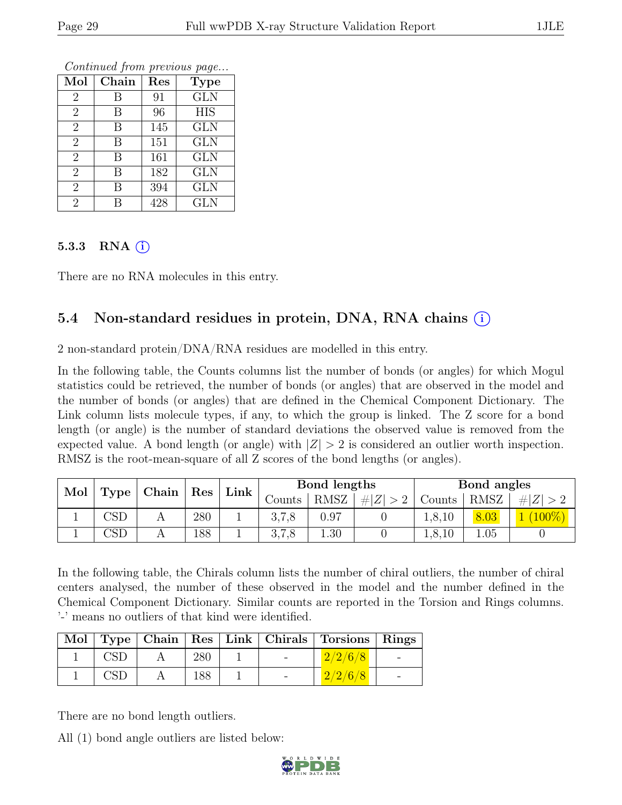| Mol            | Chain | Res | <b>Type</b> |
|----------------|-------|-----|-------------|
| 2              | В     | 91  | <b>GLN</b>  |
| $\overline{2}$ | В     | 96  | <b>HIS</b>  |
| $\overline{2}$ | В     | 145 | <b>GLN</b>  |
| $\overline{2}$ | В     | 151 | <b>GLN</b>  |
| $\overline{2}$ | В     | 161 | <b>GLN</b>  |
| $\overline{2}$ | В     | 182 | <b>GLN</b>  |
| $\overline{2}$ | В     | 394 | <b>GLN</b>  |
| $\overline{2}$ | R     | 428 | <b>GLN</b>  |

#### 5.3.3 RNA $(i)$

There are no RNA molecules in this entry.

### 5.4 Non-standard residues in protein, DNA, RNA chains (i)

2 non-standard protein/DNA/RNA residues are modelled in this entry.

In the following table, the Counts columns list the number of bonds (or angles) for which Mogul statistics could be retrieved, the number of bonds (or angles) that are observed in the model and the number of bonds (or angles) that are defined in the Chemical Component Dictionary. The Link column lists molecule types, if any, to which the group is linked. The Z score for a bond length (or angle) is the number of standard deviations the observed value is removed from the expected value. A bond length (or angle) with  $|Z| > 2$  is considered an outlier worth inspection. RMSZ is the root-mean-square of all Z scores of the bond lengths (or angles).

| Mol<br>Type |                         |  |     |  |        | Chain       |          |        | $\operatorname{Res}$ | $\mathbf{Link}$    |  | Bond lengths |  |  | Bond angles |  |
|-------------|-------------------------|--|-----|--|--------|-------------|----------|--------|----------------------|--------------------|--|--------------|--|--|-------------|--|
|             |                         |  |     |  | Counts | <b>RMSZ</b> | Z <br>#I | Counts | RMSZ                 | # Z                |  |              |  |  |             |  |
|             | $\mathbb{C}\mathrm{SL}$ |  | 280 |  | 3,7,8  | 0.97        |          | 1,8,10 | .03                  | $\triangle 00\%$ ) |  |              |  |  |             |  |
|             | $\mathbb{C}\mathrm{SL}$ |  | 188 |  | 3,7,8  | 1.30        |          | 1,8,10 | 1.05                 |                    |  |              |  |  |             |  |

In the following table, the Chirals column lists the number of chiral outliers, the number of chiral centers analysed, the number of these observed in the model and the number defined in the Chemical Component Dictionary. Similar counts are reported in the Torsion and Rings columns. '-' means no outliers of that kind were identified.

|            |     |            | Mol   Type   Chain   Res   Link   Chirals   Torsions   Rings |  |
|------------|-----|------------|--------------------------------------------------------------|--|
| <b>CSD</b> | 280 | $\sim$ $-$ | 2/2/6/8                                                      |  |
|            | 188 |            | 2/2/6/8                                                      |  |

There are no bond length outliers.

All (1) bond angle outliers are listed below:

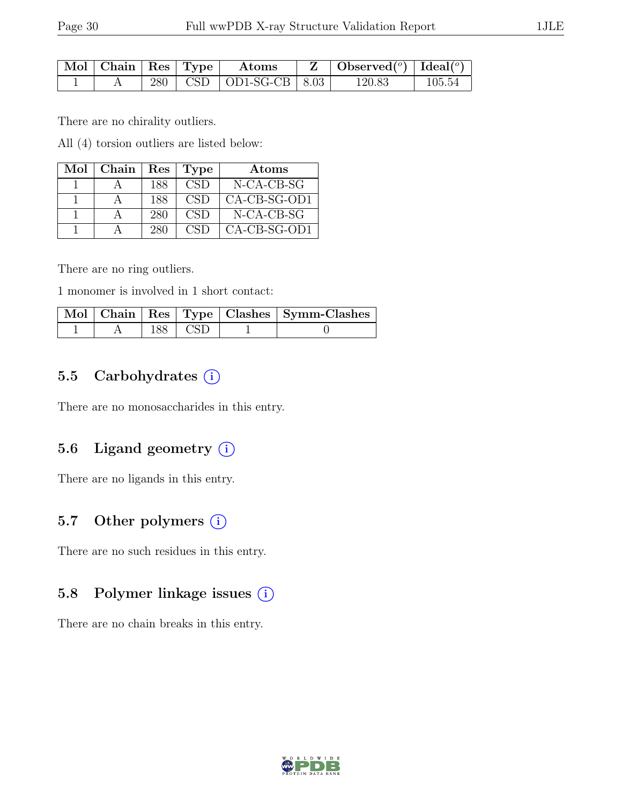| $\mathbb{N}$ ol   Chain   Res   Type |  | $\boldsymbol{\mathrm{Atoms}}$  | $\mathbf{Z}$   Observed( $^{\circ}$ )   Ideal( $^{\circ}$ ) |        |
|--------------------------------------|--|--------------------------------|-------------------------------------------------------------|--------|
|                                      |  | $280$   CSD   OD1-SG-CB   8.03 | 120.83                                                      | 105.54 |

There are no chirality outliers.

All (4) torsion outliers are listed below:

| Mol | Chain |     | Res   Type       | Atoms          |
|-----|-------|-----|------------------|----------------|
|     |       | 188 | CSD <sup>-</sup> | N-CA-CB-SG     |
|     |       | 188 | CSD <sub>0</sub> | CA-CB-SG-OD1   |
|     |       | 280 | CSD              | $N-CA-CB-SG$   |
|     |       | 280 | CSD              | $CA-CB-SG-OD1$ |

There are no ring outliers.

1 monomer is involved in 1 short contact:

|  |           | Mol   Chain   Res   Type   Clashes   Symm-Clashes |
|--|-----------|---------------------------------------------------|
|  | 188   CSD |                                                   |

### 5.5 Carbohydrates  $(i)$

There are no monosaccharides in this entry.

#### 5.6 Ligand geometry  $(i)$

There are no ligands in this entry.

#### 5.7 Other polymers  $(i)$

There are no such residues in this entry.

#### 5.8 Polymer linkage issues  $(i)$

There are no chain breaks in this entry.

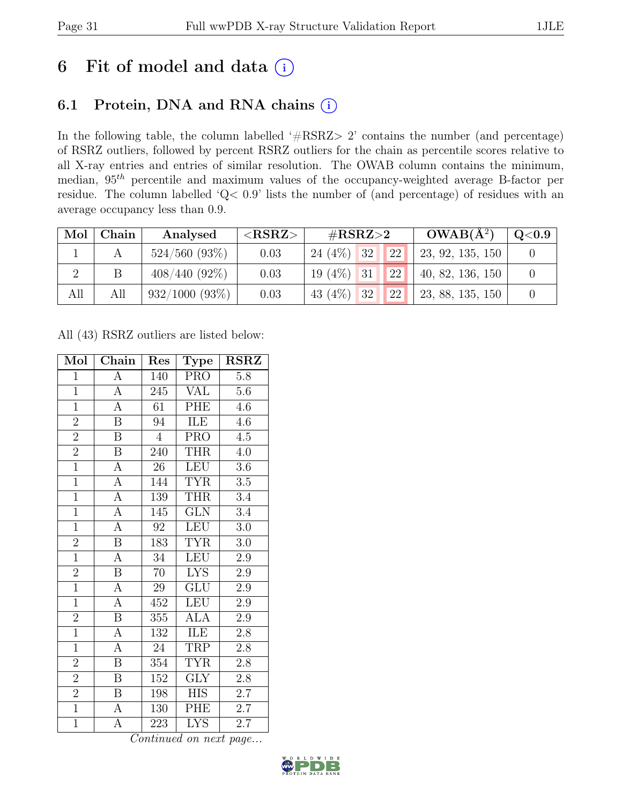# 6 Fit of model and data  $(i)$

### 6.1 Protein, DNA and RNA chains (i)

In the following table, the column labelled ' $\#\text{RSRZ}>2$ ' contains the number (and percentage) of RSRZ outliers, followed by percent RSRZ outliers for the chain as percentile scores relative to all X-ray entries and entries of similar resolution. The OWAB column contains the minimum, median,  $95<sup>th</sup>$  percentile and maximum values of the occupancy-weighted average B-factor per residue. The column labelled 'Q< 0.9' lists the number of (and percentage) of residues with an average occupancy less than 0.9.

| Mol            | Chain | Analysed           | ${ <\hspace{-1.5pt}{\mathrm{RSRZ}} \hspace{-1.5pt}>}$ | $\#\text{RSRZ}\text{>2}$ |  | $OWAB(A^2)$ | $\rm Q\textcolor{black}{<}0.9$ |  |
|----------------|-------|--------------------|-------------------------------------------------------|--------------------------|--|-------------|--------------------------------|--|
|                |       | $524/560$ $(93\%)$ | 0.03                                                  | $24(4\%)$ 32             |  | 22          | 23, 92, 135, 150               |  |
| $\overline{2}$ |       | $408/440(92\%)$    | 0.03                                                  | $19(4\%)$ 31             |  | 22          | 40, 82, 136, 150               |  |
| All            | All   | 932/1000 (93%)     | 0.03                                                  | 43 $(4\%)$ 32            |  | 22          | 23, 88, 135, 150               |  |

All (43) RSRZ outliers are listed below:

| Mol            | Chain                        | Res             | Type                       | <b>RSRZ</b>      |
|----------------|------------------------------|-----------------|----------------------------|------------------|
| $\overline{1}$ | A                            | 140             | <b>PRO</b>                 | 5.8              |
| $\overline{1}$ | $\boldsymbol{\rm{A}}$        | 245             | VAL                        | $5.6\,$          |
| $\overline{1}$ | $\overline{A}$               | $\overline{61}$ | PHE                        | 4.6              |
| $\overline{2}$ | $\, {\bf B}$                 | 94              | ILE                        | $4.\overline{6}$ |
| $\overline{2}$ | $\overline{\mathrm{B}}$      | $\overline{4}$  | <b>PRO</b>                 | 4.5              |
| $\overline{2}$ | $\, {\bf B}$                 | 240             | <b>THR</b>                 | 4.0              |
| $\overline{1}$ | $\overline{A}$               | $\overline{26}$ | <b>LEU</b>                 | 3.6              |
| $\overline{1}$ | $\overline{A}$               | 144             | <b>TYR</b>                 | $3.5\,$          |
| $\overline{1}$ | $\overline{A}$               | 139             | <b>THR</b>                 | 3.4              |
| $\overline{1}$ | $\overline{A}$               | 145             | $\overline{\text{GLN}}$    | 3.4              |
| $\overline{1}$ | $\overline{A}$               | 92              | <b>LEU</b>                 | 3.0              |
| $\overline{2}$ | $\overline{\mathrm{B}}$      | 183             | <b>TYR</b>                 | $3.0\,$          |
| $\overline{1}$ | $\overline{A}$               | 34              | LEU                        | $\overline{2.9}$ |
| $\overline{2}$ | $\boldsymbol{B}$             | 70              | <b>LYS</b>                 | $2.9\,$          |
| $\overline{1}$ | $\overline{A}$               | 29              | GLU                        | $\overline{2.9}$ |
| $\overline{1}$ | $\overline{\rm A}$           | 452             | LEU                        | $2.9\,$          |
| $\overline{2}$ | $\overline{\mathbf{B}}$      | 355             | <b>ALA</b>                 | $\overline{2.9}$ |
| $\overline{1}$ | А                            | 132             | ILE                        | $2.8\,$          |
| $\overline{1}$ | $\overline{A}$               | $24\,$          | TRP                        | $2.8\,$          |
| $\overline{2}$ | B                            | 354             | <b>TYR</b>                 | $2.8\,$          |
| $\overline{2}$ | $\, {\bf B}$                 | 152             | <b>GLY</b>                 | 2.8              |
| $\overline{2}$ | B                            | 198             | <b>HIS</b>                 | 2.7              |
| $\overline{1}$ | $\boldsymbol{\rm{A}}$        | 130             | PHE                        | 2.7              |
| $\overline{1}$ | $\overline{\rm A}$<br>$\sim$ | 223<br>$\cdot$  | <b>LYS</b><br>$\mathbf{r}$ | 2.7              |

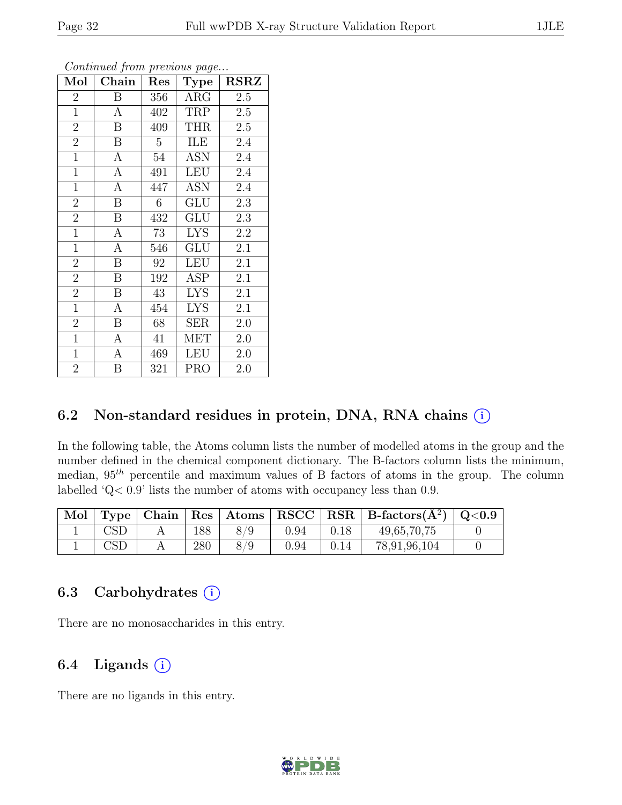| Mol            | Chain            | $\operatorname{Res}% \left( \mathcal{N}\right) \equiv\operatorname{Res}(\mathcal{N}_{0})\cap\mathcal{N}_{1}$ | <b>Type</b> | <b>RSRZ</b> |
|----------------|------------------|--------------------------------------------------------------------------------------------------------------|-------------|-------------|
| $\overline{2}$ | B                | 356                                                                                                          | $\rm{ARG}$  | 2.5         |
| $\mathbf{1}$   | $\mathbf{A}$     | 402                                                                                                          | TRP         | 2.5         |
| $\overline{2}$ | B                | 409                                                                                                          | <b>THR</b>  | 2.5         |
| $\overline{2}$ | B                | $\overline{5}$                                                                                               | ILE         | 2.4         |
| $\mathbf{1}$   | $\mathbf{A}$     | 54                                                                                                           | ASN         | 2.4         |
| $\mathbf{1}$   | $\boldsymbol{A}$ | 491                                                                                                          | LEU         | 2.4         |
| $\mathbf{1}$   | A                | 447                                                                                                          | ASN         | 2.4         |
| $\overline{2}$ | $\overline{B}$   | 6                                                                                                            | GLU         | 2.3         |
| $\overline{2}$ | B                | 432                                                                                                          | <b>GLU</b>  | 2.3         |
| $\mathbf{1}$   | $\mathbf{A}$     | 73                                                                                                           | <b>LYS</b>  | 2.2         |
| $\mathbf{1}$   | $\boldsymbol{A}$ | 546                                                                                                          | GLU         | 2.1         |
| $\overline{2}$ | $\boldsymbol{B}$ | 92                                                                                                           | <b>LEU</b>  | 2.1         |
| $\overline{2}$ | $\boldsymbol{B}$ | 192                                                                                                          | <b>ASP</b>  | 2.1         |
| $\overline{2}$ | $\boldsymbol{B}$ | 43                                                                                                           | <b>LYS</b>  | 2.1         |
| $\overline{1}$ | $\overline{A}$   | 454                                                                                                          | <b>LYS</b>  | 2.1         |
| $\overline{2}$ | B                | 68                                                                                                           | <b>SER</b>  | 2.0         |
| $\mathbf{1}$   | $\overline{A}$   | 41                                                                                                           | MET         | 2.0         |
| $\mathbf{1}$   | $\boldsymbol{A}$ | 469                                                                                                          | <b>LEU</b>  | 2.0         |
| $\overline{2}$ | B                | 321                                                                                                          | <b>PRO</b>  | 2.0         |

### 6.2 Non-standard residues in protein, DNA, RNA chains  $(i)$

In the following table, the Atoms column lists the number of modelled atoms in the group and the number defined in the chemical component dictionary. The B-factors column lists the minimum, median,  $95<sup>th</sup>$  percentile and maximum values of B factors of atoms in the group. The column labelled 'Q< 0.9' lists the number of atoms with occupancy less than 0.9.

| Mol |              |     |     |      |      | Type   Chain   Res   Atoms   RSCC   RSR   B-factors $(\AA^2)$   Q<0.9 |  |
|-----|--------------|-----|-----|------|------|-----------------------------------------------------------------------|--|
|     |              | 188 | 8/9 | 0.94 | 0.18 | 49,65,70,75                                                           |  |
|     | $\text{CSD}$ | 280 |     | 0.94 | 0.14 | 78,91,96,104                                                          |  |

### 6.3 Carbohydrates  $(i)$

There are no monosaccharides in this entry.

### 6.4 Ligands  $(i)$

There are no ligands in this entry.